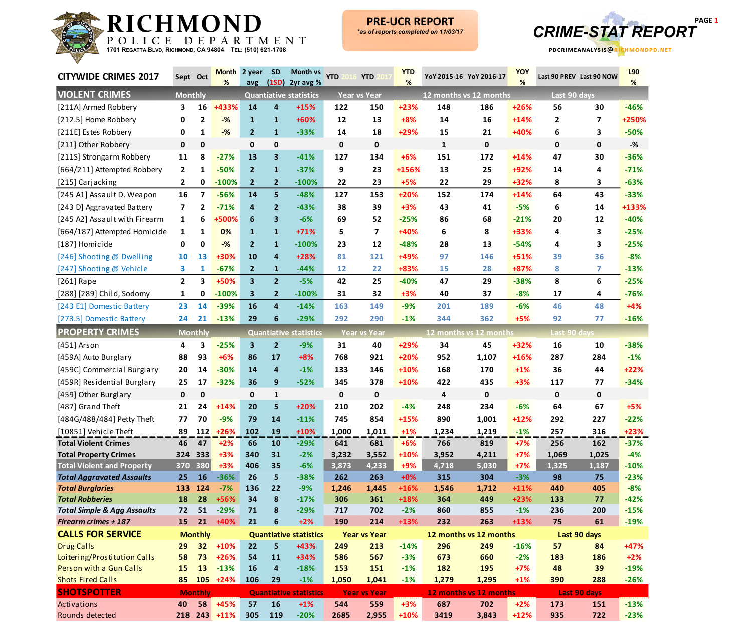

**PRE -UCR REPORT**



| <b>CITYWIDE CRIMES 2017</b>                                      | Sept Oct       |                | <b>Month</b><br>% | 2 year<br>avg  | <b>SD</b><br>(1SD)      | <b>Month vs</b><br>2yr avg %  | <b>YTD</b> | <b>YTD</b>          | <b>YTD</b><br>% |              | YoY 2015-16 YoY 2016-17 | <b>YOY</b><br>% | Last 90 PREV Last 90 NOW |                | L90<br>%         |
|------------------------------------------------------------------|----------------|----------------|-------------------|----------------|-------------------------|-------------------------------|------------|---------------------|-----------------|--------------|-------------------------|-----------------|--------------------------|----------------|------------------|
| <b>VIOLENT CRIMES</b>                                            | <b>Monthly</b> |                |                   |                |                         | <b>Quantiative statistics</b> |            | <b>Year vs Year</b> |                 |              | 12 months vs 12 months  |                 | Last 90 days             |                |                  |
| [211A] Armed Robbery                                             | 3              | 16             | +433%             | 14             | 4                       | $+15%$                        | 122        | 150                 | $+23%$          | 148          | 186                     | $+26%$          | 56                       | 30             | $-46%$           |
| [212.5] Home Robbery                                             | 0              | $\mathbf{2}$   | $-%$              | $\mathbf{1}$   | $\mathbf{1}$            | +60%                          | 12         | 13                  | $+8%$           | 14           | 16                      | $+14%$          | 2                        | $\overline{7}$ | +250%            |
| [211E] Estes Robbery                                             | 0              | 1              | $-%$              | $\overline{2}$ | $\mathbf{1}$            | $-33%$                        | 14         | 18                  | +29%            | 15           | 21                      | +40%            | 6                        | 3              | $-50%$           |
| [211] Other Robbery                                              | 0              | 0              |                   | $\mathbf 0$    | 0                       |                               | 0          | 0                   |                 | $\mathbf{1}$ | 0                       |                 | 0                        | $\mathbf 0$    | $-$ %            |
| [211S] Strongarm Robbery                                         | 11             | 8              | $-27%$            | 13             | $\overline{\mathbf{3}}$ | $-41%$                        | 127        | 134                 | $+6%$           | 151          | 172                     | $+14%$          | 47                       | 30             | $-36%$           |
| [664/211] Attempted Robbery                                      | 2              | 1              | $-50%$            | $\overline{2}$ | $\mathbf{1}$            | $-37%$                        | 9          | 23                  | +156%           | 13           | 25                      | +92%            | 14                       | 4              | $-71%$           |
| [215] Carjacking                                                 | $\mathbf{2}$   | 0              | $-100%$           | $\overline{2}$ | $\overline{2}$          | $-100%$                       | 22         | 23                  | $+5%$           | 22           | 29                      | +32%            | 8                        | 3              | $-63%$           |
| [245 A1] Assault D. Weapon                                       | 16             | 7              | $-56%$            | 14             | 5                       | $-48%$                        | 127        | 153                 | $+20%$          | 152          | 174                     | $+14%$          | 64                       | 43             | $-33%$           |
| [243 D] Aggravated Battery                                       | 7              | 2              | $-71%$            | 4              | $\overline{2}$          | $-43%$                        | 38         | 39                  | $+3%$           | 43           | 41                      | $-5%$           | 6                        | 14             | +133%            |
| [245 A2] Assault with Firearm                                    | 1              | 6              | +500%             | 6              | $\overline{\mathbf{3}}$ | $-6%$                         | 69         | 52                  | $-25%$          | 86           | 68                      | $-21%$          | 20                       | 12             | $-40%$           |
| [664/187] Attempted Homicide                                     | 1              | 1              | 0%                | $\mathbf{1}$   | $\mathbf{1}$            | $+71%$                        | 5          | $\overline{7}$      | +40%            | 6            | 8                       | +33%            | 4                        | 3              | $-25%$           |
| [187] Homicide                                                   | 0              | 0              | $-%$              | $\mathbf{2}$   | $\mathbf{1}$            | $-100%$                       | 23         | 12                  | $-48%$          | 28           | 13                      | $-54%$          | 4                        | 3              | $-25%$           |
| [246] Shooting @ Dwelling                                        | 10             | 13             | +30%              | 10             | $\overline{4}$          | $+28%$                        | 81         | 121                 | +49%            | 97           | 146                     | $+51%$          | 39                       | 36             | $-8%$            |
| [247] Shooting @ Vehicle                                         | 3              | 1              | $-67%$            | $\overline{2}$ | $\mathbf{1}$            | $-44%$                        | 12         | 22                  | +83%            | 15           | 28                      | +87%            | 8                        | 7              | $-13%$           |
| $[261]$ Rape                                                     | $\mathbf{2}$   | 3              | +50%              | 3 <sup>1</sup> | 2 <sup>2</sup>          | $-5%$                         | 42         | 25                  | $-40%$          | 47           | 29                      | $-38%$          | 8                        | 6              | $-25%$           |
| [288] [289] Child, Sodomy                                        | 1              | 0              | $-100%$           | 3              | $\overline{2}$          | $-100%$                       | 31         | 32                  | $+3%$           | 40           | 37                      | $-8%$           | 17                       | 4              | $-76%$           |
| [243 E1] Domestic Battery                                        | 23             | 14             | $-39%$            | 16             | $\overline{4}$          | $-14%$                        | 163        | 149                 | $-9%$           | 201          | 189                     | $-6%$           | 46                       | 48             | $+4%$            |
| [273.5] Domestic Battery                                         | 24             | 21             | $-13%$            | 29             | 6                       | $-29%$                        | 292        | 290                 | $-1%$           | 344          | 362                     | $+5%$           | 92                       | 77             | $-16%$           |
| <b>PROPERTY CRIMES</b>                                           |                | <b>Monthly</b> |                   |                |                         | <b>Quantiative statistics</b> |            | <b>Year vs Year</b> |                 |              | 12 months vs 12 months  |                 | Last 90 days             |                |                  |
| [451] Arson                                                      | 4              | 3              | $-25%$            | $\mathbf{3}$   | $\overline{2}$          | $-9%$                         | 31         | 40                  | +29%            | 34           | 45                      | +32%            | 16                       | 10             | $-38%$           |
| [459A] Auto Burglary                                             | 88             | 93             | $+6%$             | 86             | 17                      | $+8%$                         | 768        | 921                 | $+20%$          | 952          | 1,107                   | +16%            | 287                      | 284            | $-1%$            |
| [459C] Commercial Burglary                                       | 20             | 14             | $-30%$            | 14             | 4                       | $-1%$                         | 133        | 146                 | +10%            | 168          | 170                     | $+1%$           | 36                       | 44             | $+22%$           |
| [459R] Residential Burglary                                      | 25             | 17             | $-32%$            | 36             | 9                       | $-52%$                        | 345        | 378                 | +10%            | 422          | 435                     | $+3%$           | 117                      | 77             | $-34%$           |
| [459] Other Burglary                                             | 0              | $\mathbf 0$    |                   | 0              | $\mathbf{1}$            |                               | 0          | $\mathbf 0$         |                 | 4            | 0                       |                 | $\mathbf 0$              | $\mathbf 0$    |                  |
| [487] Grand Theft                                                | 21             | 24             | $+14%$            | 20             | 5                       | $+20%$                        | 210        | 202                 | $-4%$           | 248          | 234                     | $-6%$           | 64                       | 67             | $+5%$            |
| [484G/488/484] Petty Theft                                       | 77             | 70             | $-9%$             | 79             | 14                      | $-11%$                        | 745        | 854                 | $+15%$          | 890          | 1,001                   | $+12%$          | 292                      | 227            | $-22%$           |
| [10851] Vehicle Theft                                            | 89             |                | $112 + 26%$       | 102            | 19                      | $+10%$                        | 1,000      | 1,011               | $+1%$           | 1,234        | 1,219                   | $-1%$           | 257                      | 316            | $+23%$           |
| <b>Total Violent Crimes</b>                                      | 46             | 47             | $+2%$             | 66             | 10                      | $-29%$                        | 641        | 681                 | $+6%$           | 766          | 819                     | $+7%$           | 256                      | 162            | $-37%$           |
| <b>Total Property Crimes</b>                                     |                | 324 333        | $+3%$             | 340            | 31                      | $-2%$                         | 3,232      | 3,552               | $+10%$          | 3,952        | 4,211                   | $+7%$           | 1,069                    | 1,025          | $-4%$            |
| <b>Total Violent and Property</b>                                |                | 370 380        | $+3%$             | 406            | 35                      | $-6%$                         | 3,873      | 4,233               | +9%             | 4,718        | 5,030                   | $+7%$           | 1,325                    | 1,187          | $-10%$           |
| <b>Total Aggravated Assaults</b>                                 | 25             | 16             | $-36%$            | 26             | 5                       | $-38%$                        | 262        | 263                 | $+0%$           | 315          | 304                     | $-3%$           | 98                       | 75             | $-23%$           |
| <b>Total Burglaries</b>                                          | 133            | 124            | $-7%$             | 136            | 22                      | $-9%$                         | 1,246      | 1,445               | +16%            | 1,546        | 1,712                   | $+11%$          | 440                      | 405            | $-8%$            |
| <b>Total Robberies</b><br><b>Total Simple &amp; Agg Assaults</b> | 18<br>72       | 28<br>51       | +56%<br>$-29%$    | 34<br>71       | 8<br>8                  | $-17%$<br>$-29%$              | 306        | 361<br>702          | +18%<br>$-2%$   | 364<br>860   | 449<br>855              | $+23%$          | 133<br>236               | 77             | $-42%$<br>$-15%$ |
| <b>Firearm crimes + 187</b>                                      | 15             | 21             | +40%              | 21             | 6                       | $+2%$                         | 717<br>190 | 214                 | +13%            | 232          | 263                     | $-1%$<br>$+13%$ | 75                       | 200<br>61      | $-19%$           |
| <b>CALLS FOR SERVICE</b>                                         |                | <b>Monthly</b> |                   |                |                         | <b>Quantiative statistics</b> |            | <b>Year vs Year</b> |                 |              | 12 months vs 12 months  |                 |                          | Last 90 days   |                  |
| <b>Drug Calls</b>                                                | 29             |                | $32 + 10%$        | 22             | 5                       | +43%                          | 249        | 213                 | $-14%$          | 296          | 249                     | $-16%$          | 57                       | 84             | +47%             |
| Loitering/Prostitution Calls                                     | 58             | 73             | $+26%$            | 54             | 11                      | $+34%$                        | 586        | 567                 | $-3%$           | 673          | 660                     | $-2%$           | 183                      | 186            | $+2%$            |
| Person with a Gun Calls                                          | 15             | 13             | $-13%$            | 16             | $\overline{\mathbf{4}}$ | $-18%$                        | 153        | 151                 | $-1%$           | 182          | 195                     | $+7%$           | 48                       | 39             | $-19%$           |
| <b>Shots Fired Calls</b>                                         | 85             |                | $105 + 24%$       | 106            | 29                      | $-1%$                         | 1,050      | 1,041               | $-1%$           | 1,279        | 1,295                   | $+1%$           | 390                      | 288            | $-26%$           |
| <b>SHOTSPOTTER</b>                                               |                | <b>Monthly</b> |                   |                |                         | <b>Quantiative statistics</b> |            | <b>Year vs Year</b> |                 |              | 12 months vs 12 months  |                 |                          | Last 90 days   |                  |
| Activations                                                      | 40             |                | 58 +45%           | 57             | 16                      | $+1%$                         | 544        | 559                 | $+3%$           | 687          | 702                     | $+2%$           | 173                      | 151            | $-13%$           |
| Rounds detected                                                  |                |                | 218 243 +11%      | 305            | 119                     | $-20%$                        | 2685       | 2,955               | $+10%$          | 3419         | 3,843                   | $+12%$          | 935                      | 722            | $-23%$           |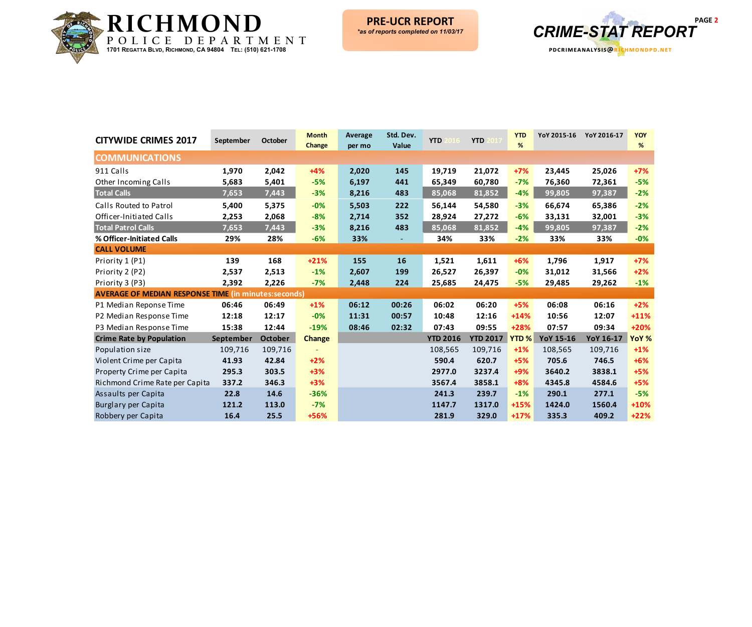



| <b>CITYWIDE CRIMES 2017</b>                                 | September | <b>October</b> | <b>Month</b><br>Change | <b>Average</b><br>per mo | Std. Dev.<br>Value | <b>YTD</b>      | <b>YTD</b>      | <b>YTD</b><br>% | YoY 2015-16      | YoY 2016-17 | <b>YOY</b><br>% |
|-------------------------------------------------------------|-----------|----------------|------------------------|--------------------------|--------------------|-----------------|-----------------|-----------------|------------------|-------------|-----------------|
| <b>COMMUNICATIONS</b>                                       |           |                |                        |                          |                    |                 |                 |                 |                  |             |                 |
| 911 Calls                                                   | 1,970     | 2,042          | $+4%$                  | 2,020                    | 145                | 19,719          | 21,072          | $+7%$           | 23,445           | 25,026      | $+7%$           |
| Other Incoming Calls                                        | 5,683     | 5,401          | $-5%$                  | 6,197                    | 441                | 65,349          | 60,780          | $-7%$           | 76,360           | 72,361      | $-5%$           |
| <b>Total Calls</b>                                          | 7,653     | 7,443          | $-3%$                  | 8,216                    | 483                | 85,068          | 81,852          | $-4%$           | 99,805           | 97,387      | $-2%$           |
| Calls Routed to Patrol                                      | 5,400     | 5,375          | $-0%$                  | 5,503                    | 222                | 56,144          | 54,580          | $-3%$           | 66,674           | 65,386      | $-2%$           |
| Officer-Initiated Calls                                     | 2,253     | 2,068          | $-8%$                  | 2,714                    | 352                | 28,924          | 27,272          | $-6%$           | 33,131           | 32,001      | $-3%$           |
| <b>Total Patrol Calls</b>                                   | 7,653     | 7,443          | $-3%$                  | 8,216                    | 483                | 85,068          | 81,852          | $-4%$           | 99,805           | 97,387      | $-2%$           |
| % Officer-Initiated Calls                                   | 29%       | 28%            | $-6%$                  | 33%                      |                    | 34%             | 33%             | $-2%$           | 33%              | 33%         | $-0%$           |
| <b>CALL VOLUME</b>                                          |           |                |                        |                          |                    |                 |                 |                 |                  |             |                 |
| Priority 1 (P1)                                             | 139       | 168            | $+21%$                 | 155                      | <b>16</b>          | 1,521           | 1,611           | $+6%$           | 1,796            | 1,917       | $+7%$           |
| Priority 2 (P2)                                             | 2,537     | 2,513          | $-1%$                  | 2,607                    | 199                | 26,527          | 26,397          | $-0%$           | 31,012           | 31,566      | $+2%$           |
| Priority 3 (P3)                                             | 2,392     | 2,226          | $-7%$                  | 2,448                    | 224                | 25,685          | 24,475          | $-5%$           | 29,485           | 29,262      | $-1%$           |
| <b>AVERAGE OF MEDIAN RESPONSE TIME (in minutes:seconds)</b> |           |                |                        |                          |                    |                 |                 |                 |                  |             |                 |
| P1 Median Reponse Time                                      | 06:46     | 06:49          | $+1%$                  | 06:12                    | 00:26              | 06:02           | 06:20           | $+5%$           | 06:08            | 06:16       | $+2%$           |
| P2 Median Response Time                                     | 12:18     | 12:17          | $-0%$                  | 11:31                    | 00:57              | 10:48           | 12:16           | $+14%$          | 10:56            | 12:07       | $+11%$          |
| P3 Median Response Time                                     | 15:38     | 12:44          | $-19%$                 | 08:46                    | 02:32              | 07:43           | 09:55           | $+28%$          | 07:57            | 09:34       | +20%            |
| <b>Crime Rate by Population</b>                             | September | <b>October</b> | <b>Change</b>          |                          |                    | <b>YTD 2016</b> | <b>YTD 2017</b> | <b>YTD%</b>     | <b>YoY 15-16</b> | YoY 16-17   | YoY %           |
| Population size                                             | 109,716   | 109,716        |                        |                          |                    | 108,565         | 109,716         | $+1%$           | 108,565          | 109,716     | $+1%$           |
| Violent Crime per Capita                                    | 41.93     | 42.84          | $+2%$                  |                          |                    | 590.4           | 620.7           | $+5%$           | 705.6            | 746.5       | $+6%$           |
| Property Crime per Capita                                   | 295.3     | 303.5          | $+3%$                  |                          |                    | 2977.0          | 3237.4          | +9%             | 3640.2           | 3838.1      | $+5%$           |
| Richmond Crime Rate per Capita                              | 337.2     | 346.3          | $+3%$                  |                          |                    | 3567.4          | 3858.1          | $+8%$           | 4345.8           | 4584.6      | $+5%$           |
| Assaults per Capita                                         | 22.8      | 14.6           | $-36%$                 |                          |                    | 241.3           | 239.7           | $-1%$           | 290.1            | 277.1       | $-5%$           |
| Burglary per Capita                                         | 121.2     | 113.0          | $-7%$                  |                          |                    | 1147.7          | 1317.0          | $+15%$          | 1424.0           | 1560.4      | $+10%$          |
| Robbery per Capita                                          | 16.4      | 25.5           | +56%                   |                          |                    | 281.9           | 329.0           | $+17%$          | 335.3            | 409.2       | $+22%$          |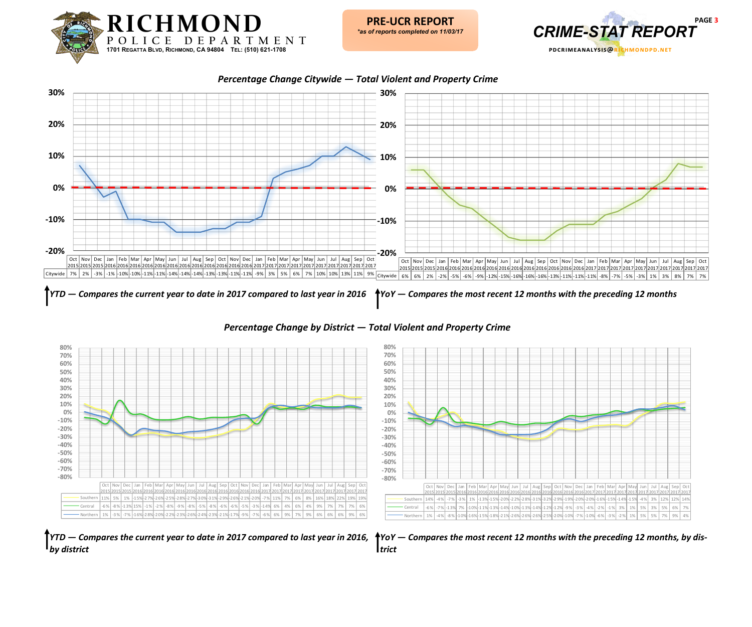



*Percentage Change Citywide — Total Violent and Property Crime*



*Percentage Change by District — Total Violent and Property Crime*





*YTD — Compares the current year to date in 2017 compared to last year in 2016, by district*

*YoY — Compares the most recent 12 months with the preceding 12 months, by district*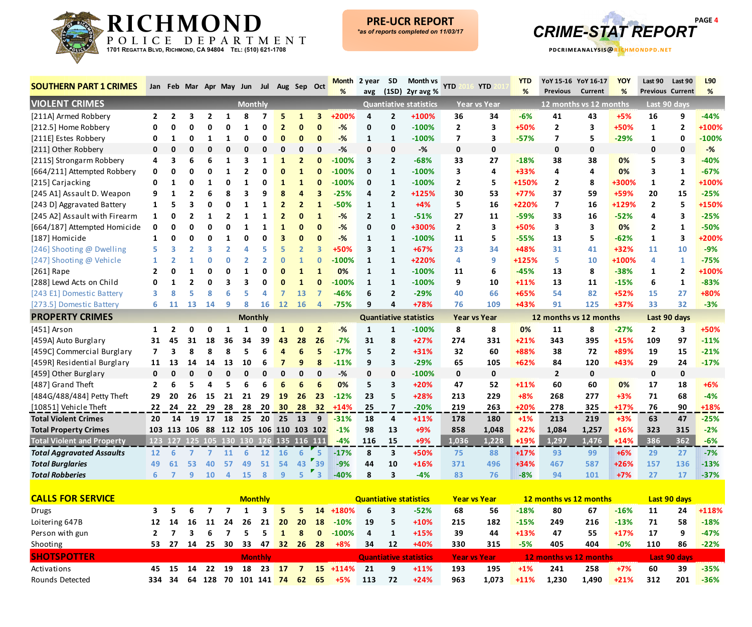



| <b>SOUTHERN PART 1 CRIMES</b>     |                          | Jan Feb Mar Apr May Jun Jul             |                |                     |                            |                |                  |                                         | Aug Sep Oct                    |                              | Month          | 2 year         | <b>SD</b>                     | Month vs                      | YTD                  | <b>YTD</b>          | <b>YTD</b>       | YoY 15-16 YoY 16-17     |                | <b>YOY</b>      | Last 90              | Last 90                        | L90             |
|-----------------------------------|--------------------------|-----------------------------------------|----------------|---------------------|----------------------------|----------------|------------------|-----------------------------------------|--------------------------------|------------------------------|----------------|----------------|-------------------------------|-------------------------------|----------------------|---------------------|------------------|-------------------------|----------------|-----------------|----------------------|--------------------------------|-----------------|
| <b>VIOLENT CRIMES</b>             |                          |                                         |                |                     |                            |                |                  |                                         |                                |                              | %              | avg            | (1SD)                         | 2yr avg %                     |                      |                     | %                | <b>Previous</b>         | <b>Current</b> | %               |                      | <b>Previous Current</b>        | %               |
|                                   |                          |                                         |                |                     |                            | <b>Monthly</b> |                  |                                         |                                |                              |                |                |                               | <b>Quantiative statistics</b> |                      | <b>Year vs Year</b> |                  | 12 months vs 12 months  |                |                 |                      | Last 90 days                   |                 |
| [211A] Armed Robbery              | $\mathbf{2}$             | $\overline{2}$<br>ŋ                     | 3<br>ŋ         | $\overline{2}$<br>ŋ | 1<br>O                     | 8<br>1         | 7<br>$\mathbf 0$ | 5<br>$\overline{2}$                     | $\mathbf{1}$<br>$\mathbf{0}$   | 3<br>$\mathbf{0}$            | +200%          | 4              | $\overline{2}$<br>$\mathbf 0$ | +100%<br>$-100%$              | 36<br>$\overline{2}$ | 34<br>3             | $-6%$<br>+50%    | 41<br>$\overline{2}$    | 43             | $+5%$<br>+50%   | 16                   | 9<br>$\overline{2}$            | $-44%$<br>+100% |
| [212.5] Home Robbery              |                          | 1                                       | ŋ              | -1                  |                            | 0              | $\mathbf 0$      | $\mathbf{0}$                            | $\mathbf{0}$                   | $\mathbf{0}$                 | $-%$           | $\mathbf 0$    |                               | $-100%$                       |                      |                     |                  |                         | 3              |                 | $\mathbf{1}$         |                                | $-100%$         |
| [211E] Estes Robbery              | 0                        |                                         |                |                     | 1<br>0                     | $\Omega$       | $\Omega$         | $\Omega$                                | $\Omega$                       | $\mathbf{0}$                 | $-%$<br>$-%$   | 1              | 1                             | $-%$                          | $\overline{7}$       | 3                   | $-57%$           | 7                       | 5              | $-29%$          | 1                    | 0                              | $-$ %           |
| [211] Other Robbery               | 0                        | n                                       |                |                     |                            | 3              |                  |                                         |                                |                              |                | $\mathbf{0}$   | 0                             |                               | 0                    | 0                   |                  | $\pmb{0}$               | $\pmb{0}$      |                 | 0                    | $\mathbf 0$                    | $-40%$          |
| [211S] Strongarm Robbery          | 4                        | 3                                       | 6<br>ი         | 6                   | 1                          | $\overline{2}$ | 1<br>0           | $\mathbf{1}$<br>$\mathbf{0}$            | $\overline{2}$                 | $\mathbf{0}$                 | $-100%$        | 3              | $\overline{2}$                | $-68%$                        | 33<br>3              | 27                  | $-18%$           | 38                      | 38             | 0%              | 5<br>3               | 3                              | $-67%$          |
| [664/211] Attempted Robbery       | 0<br>ŋ                   | Ω<br>1                                  | ŋ              | Ω                   | 1<br>በ                     | 1              | $\mathbf{0}$     |                                         | $\mathbf{1}$                   | $\mathbf{0}$                 | $-100%$        | 0              | 1                             | $-100\%$                      |                      | 4                   | $+33%$           | 4                       | 4              | 0%              |                      | 1                              | +100%           |
| [215] Carjacking                  |                          |                                         |                | 6                   | 8                          | 3              | q                | $\mathbf{1}$<br>8                       | $\mathbf{1}$<br>4              | $\mathbf{0}$                 | $-100%$        | 0              | 1                             | $-100%$                       | $\mathbf{2}$         | 5                   | +150%<br>$+77%$  | $\mathbf{2}$            | 8              | +300%           | $\mathbf{1}$         | $\overline{2}$                 | $-25%$          |
| [245 A1] Assault D. Weapon        |                          |                                         | 3              |                     | 0                          | $\mathbf{1}$   |                  | $\overline{2}$                          |                                | 3<br>$\mathbf{1}$            | $-25%$         | 4              | $\overline{2}$                | $+125%$<br>$+4%$              | 30                   | 53                  | +220%            | 37                      | 59<br>16       | +59%<br>+129%   | 20<br>$\overline{2}$ | 15                             | +150%           |
| [243 D] Aggravated Battery        | 1                        | ŋ                                       |                |                     | $\overline{\mathbf{z}}$    | 1              | $\mathbf{1}$     |                                         | $\overline{2}$<br>$\mathbf{0}$ | $\mathbf{1}$                 | $-50%$         | 1              | $\mathbf{1}$                  |                               | 5                    | 16                  |                  | $\overline{\mathbf{z}}$ |                |                 | 4                    | 5                              | $-25%$          |
| [245 A2] Assault with Firearm     | 1                        |                                         |                |                     |                            |                | $\mathbf{1}$     | $\overline{2}$                          |                                |                              | $-%$           | $\overline{2}$ | $\mathbf{1}$                  | $-51%$                        | 27                   | 11                  | -59%             | 33                      | 16             | $-52%$          |                      | 3                              |                 |
| [664/187] Attempted Homicide      | 0                        | ŋ<br>U                                  | U              | ŋ                   | 0<br>1                     | 1<br>0         | 1<br>$\mathbf 0$ | $\mathbf{1}$<br>$\overline{\mathbf{3}}$ | $\bf{0}$<br>$\bf{0}$           | $\mathbf{0}$<br>$\mathbf{0}$ | $-%$           | 0              | 0                             | +300%                         | $\overline{2}$       | 3                   | +50%             | 3                       | 3              | 0%              | $\mathbf{2}$         | 1                              | $-50%$<br>+200% |
| [187] Homicide                    | 1                        |                                         |                | 3                   | 2                          | Δ              | 5                | 5                                       |                                | 3                            | $-%$<br>+50%   | 1              | $\mathbf{1}$                  | $-100%$                       | 11                   | 5                   | $-55%$           | 13                      | 5              | $-62%$          | $\mathbf{1}$         | 3                              | $-9%$           |
| [246] Shooting @ Dwelling         |                          |                                         |                | O                   | 0                          | $\overline{2}$ | $\overline{2}$   | $\mathbf{0}$                            | $\overline{2}$                 | $\overline{0}$               |                | 3              | $\mathbf{1}$                  | $+67%$                        | 23                   | 34                  | +48%             | 31                      | 41             | +32%            | 11                   | 10                             |                 |
| [247] Shooting @ Vehicle          | $\overline{\phantom{a}}$ |                                         |                |                     | በ                          | $\mathbf{1}$   | $\Omega$         | $\Omega$                                | 1<br>$\mathbf{1}$              | $\mathbf{1}$                 | -100%          | 1              | 1<br>$\mathbf{1}$             | +220%<br>$-100%$              | 4                    | 9                   | +125%            | 5                       | 10             | +100%<br>$-38%$ | 4                    | 1                              | $-75%$<br>+100% |
| [261] Rape                        |                          |                                         |                |                     | 3                          | З              | $\Omega$         |                                         | $\mathbf{1}$                   | $\mathbf{0}$                 | 0%<br>$-100%$  | 1              |                               | $-100%$                       | 11<br>9              | 6                   | $-45%$<br>$+11%$ | 13<br>13                | 8<br>11        |                 | 1<br>6               | $\overline{2}$<br>$\mathbf{1}$ | $-83%$          |
| [288] Lewd Acts on Child          |                          |                                         |                |                     |                            |                | Δ                |                                         |                                | 7                            |                | 1              | $\mathbf{1}$                  | $-29%$                        |                      | 10                  | +65%             |                         |                | $-15%$          |                      | 27                             | +80%            |
| [243 E1] Domestic Battery         | 6                        | 11                                      | 13             | 14                  | q                          | 8              | 16               | 12                                      | 13                             | 4                            | -46%<br>$-75%$ | 6<br>9         | $\overline{2}$<br>4           | +78%                          | 40<br>76             | 66<br>109           | +43%             | 54<br>91                | 82<br>125      | +52%<br>+37%    | 15<br>33             | 32                             | $-3%$           |
| [273.5] Domestic Battery          |                          |                                         |                |                     |                            |                |                  |                                         | <b>16</b>                      |                              |                |                |                               |                               |                      |                     |                  |                         |                |                 |                      |                                |                 |
| <b>PROPERTY CRIMES</b>            |                          |                                         |                |                     |                            | <b>Monthly</b> |                  |                                         |                                |                              |                |                |                               | <b>Quantiative statistics</b> |                      | <b>Year vs Year</b> |                  | 12 months vs 12 months  |                |                 |                      | Last 90 days                   |                 |
| [451] Arson                       | $\mathbf{1}$             | 2                                       | O              | 0                   | 1                          | 1              | 0                | $\mathbf{1}$                            | $\mathbf{0}$                   | $\overline{2}$               | $-%$           | $\mathbf{1}$   | $\mathbf{1}$                  | $-100%$                       | 8                    | 8                   | 0%               | 11                      | 8              | $-27%$          | $\overline{2}$       | 3                              | +50%            |
| [459A] Auto Burglary              | 31                       | 45                                      | 31             | 18                  | 36                         | 34             | 39               | 43                                      | 28                             | 26                           | $-7%$          | 31             | 8                             | $+27%$                        | 274                  | 331                 | $+21%$           | 343                     | 395            | +15%            | 109                  | 97                             | $-11%$          |
| [459C] Commercial Burglary        | $\overline{ }$           |                                         | 8              | 8                   | 8                          | 5              | 6                | 4                                       | 6                              | 5                            | $-17%$         | 5              | $\overline{2}$                | $+31%$                        | 32                   | 60                  | +88%             | 38                      | 72             | +89%            | 19                   | 15                             | $-21%$          |
| [459R] Residential Burglary       | 11                       | 13                                      | 14             | 14                  | 13                         | 10             | 6                | $\overline{7}$                          | 9                              | 8                            | -11%           | 9              | 3                             | $-29%$                        | 65                   | 105                 | $+62%$           | 84                      | 120            | +43%            | 29                   | 24                             | $-17%$          |
| [459] Other Burglary              | $\mathbf{0}$             | ŋ                                       |                |                     | $\Omega$                   | $\mathbf 0$    | $\mathbf 0$      | 0                                       | 0                              | $\mathbf 0$                  | -%             | 0              | 0                             | $-100%$                       | 0                    | $\mathbf 0$         |                  | $\mathbf{2}$            | 0              |                 | 0                    | 0                              |                 |
| [487] Grand Theft                 | $\mathbf{2}$             | 6                                       | 5              | Δ                   | 5                          | 6              | 6                | 6                                       | 6                              | 6                            | 0%             | 5              | 3                             | $+20%$                        | 47                   | 52                  | $+11%$           | 60                      | 60             | 0%              | 17                   | 18                             | $+6%$           |
| [484G/488/484] Petty Theft        | 29                       | 20                                      | 26             | 15                  | 21                         | 21             | 29               | 19                                      | 26                             | 23                           | $-12%$         | 23             | 5.                            | $+28%$                        | 213                  | 229                 | $+8%$            | 268                     | 277            | $+3%$           | 71                   | 68                             | $-4%$           |
| [10851] Vehicle Theft             | 22                       | 24                                      | 22             | -29                 | 28                         | 28             | 20               | 30                                      | 28                             | 32                           | $+14%$         | 25             | $\overline{7}$                | $-20%$                        | 219                  | 263                 | $+20%$           | 278                     | 325            | $+17%$          | 76                   | 90                             | +18%            |
| <b>Total Violent Crimes</b>       | 20                       | 14                                      | 19             | 17                  | 18                         | 25             | 20               | 25                                      | 13                             | 9                            | $-31%$         | 18             | 4                             | $+11%$                        | 178                  | 180                 | $+1%$            | 213                     | 219            | $+3%$           | 63                   | 47                             | $-25%$          |
| <b>Total Property Crimes</b>      | 103                      | 113 106                                 |                |                     | 88 112 105 106 110 103 102 |                |                  |                                         |                                |                              | $-1%$          | 98             | 13                            | $+9%$                         | 858                  | 1,048               | $+22%$           | 1,084                   | 1,257          | +16%            | 323                  | 315                            | $-2%$           |
| <b>Total Violent and Property</b> |                          | 123 127 125 105 130 130 126 135 116 111 |                |                     |                            |                |                  |                                         |                                |                              | $-4%$          | 116            | 15                            | $+9%$                         | 1,036                | 1,228               | $+19%$           | 1,297                   | 1,476          | $+14%$          | 386                  | 362                            | $-6%$           |
| <b>Total Aggravated Assaults</b>  | 12 <sup>2</sup>          | 6                                       | $\overline{7}$ | $\overline{7}$      | <b>11</b>                  | 6              | 12               | <b>16</b>                               | 6                              | -5                           | $-17%$         | 8              | 3                             | +50%                          | 75                   | 88                  | $+17%$           | 93                      | 99             | $+6%$           | 29                   | 27                             | $-7%$           |
| <b>Total Burglaries</b>           | 49                       | 61                                      | 53             | 40                  | 57                         | 49             | 51               | 54                                      | 43                             | 39                           | $-9%$          | 44             | 10                            | $+16%$                        | 371                  | 496                 | $+34%$           | 467                     | 587            | $+26%$          | 157                  | 136                            | $-13%$          |
| <b>Total Robberies</b>            | 6                        | $\overline{7}$                          | 9              | <b>10</b>           | $\overline{a}$             | <b>15</b>      | 8                | 9                                       | 5                              | $\overline{\mathbf{3}}$      | $-40%$         | 8              | 3                             | $-4%$                         | 83                   | 76                  | $-8%$            | 94                      | 101            | $+7%$           | 27                   | 17                             | $-37%$          |
| <b>CALLS FOR SERVICE</b>          |                          |                                         |                |                     |                            | <b>Monthly</b> |                  |                                         |                                |                              |                |                | <b>Ouantiative statistics</b> |                               | Vear ys Vear         |                     |                  | 12 manths ys 12 manths  |                |                 |                      | Last 90 days                   |                 |

| <b>CALLS FOR SERVICE</b> | <b>Monthly</b> |       |    |     |      |                   |                |                     |                 |              | Quantiative statistics | <b>Year vs Year</b> |    |                               | 12 months vs 12 months |       |        |                        | Last 90 days |        |     |                     |         |
|--------------------------|----------------|-------|----|-----|------|-------------------|----------------|---------------------|-----------------|--------------|------------------------|---------------------|----|-------------------------------|------------------------|-------|--------|------------------------|--------------|--------|-----|---------------------|---------|
| <b>Drugs</b>             |                |       |    |     |      |                   |                | 5.                  |                 |              | 14 +180%               | b                   |    | -52%                          | 68                     | 56    | $-18%$ | 80                     | 67           | $-16%$ | 11  | 24                  | $+118%$ |
| Loitering 647B           | 12             | 14    | 16 | -11 | 24   | 26                | 21             | <b>20</b>           | 20 <sup>1</sup> | 18           | $-10%$                 | 19                  | 5. | $+10%$                        | 215                    | 182   | $-15%$ | 249                    | 216          | $-13%$ | 71  | 58                  | $-18%$  |
| Person with gun          |                |       |    |     |      |                   |                |                     | 8               | $\mathbf{0}$ | $-100%$                | 4                   |    | $+15%$                        | 39                     | 44    | $+13%$ | 47                     | 55           | $+17%$ | 17  | 9                   | $-47%$  |
| Shooting                 | 53.            | - 27  | 14 | 25  | 30   | 33                | 47             | 32 <sup>7</sup>     |                 | 26 28        | $+8%$                  | 34                  | 12 | +40%                          | 330                    | 315   | $-5%$  | 405                    | 404          | $-0%$  | 110 | 86                  | $-22%$  |
| <b>SHOTSPOTTER</b>       |                |       |    |     |      |                   | <b>Monthly</b> |                     |                 |              |                        |                     |    | <b>Quantiative statistics</b> | <b>Year vs Year</b>    |       |        | 12 months vs 12 months |              |        |     | <b>Last 90 days</b> |         |
| Activations              |                | 45 15 | 14 | 22  | - 19 | 18                | -23            | $\left  \right $ 17 |                 |              | $15 + 114%$            | -21                 | 9  | $+11%$                        | 193                    | 195   | $+1\%$ | 241                    | 258          | $+7%$  | 60  | 39                  | $-35%$  |
| Rounds Detected          | 334            | -34   | 64 |     |      | 128 70 101 141 74 |                |                     | -62             | -65          | $+5%$                  | 113                 | 72 | $+24%$                        | 963                    | 1.073 | $+11%$ | 1.230                  | 1.490        | $+21%$ | 312 | 201                 | $-36%$  |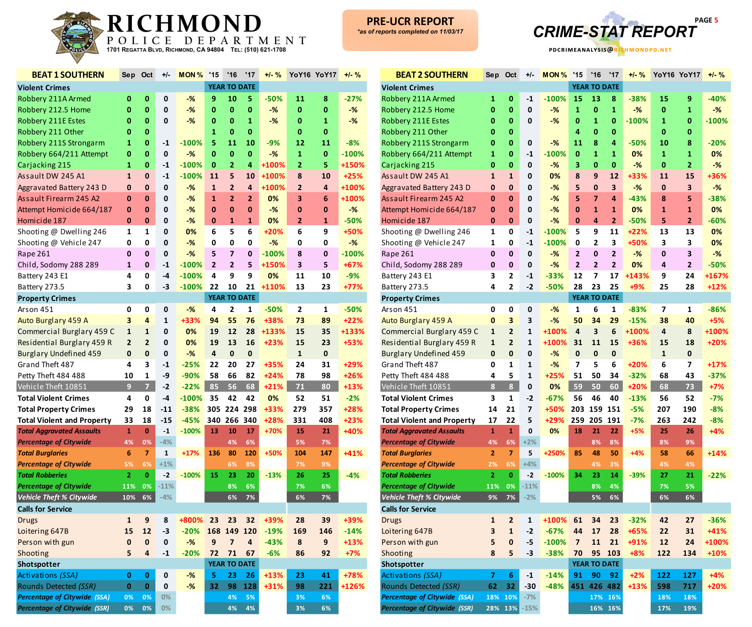



| <b>BEAT 1 SOUTHERN</b>              | Sep                     | Oct                     | +/-                     | <b>MON%</b> | '15                     | '16                     | '17                     | $+1 - %$ |                | <b>YoY16 YoY17</b> | $+/-$ % |
|-------------------------------------|-------------------------|-------------------------|-------------------------|-------------|-------------------------|-------------------------|-------------------------|----------|----------------|--------------------|---------|
| <b>Violent Crimes</b>               |                         |                         |                         |             |                         | <b>YEAR TO DATE</b>     |                         |          |                |                    |         |
| Robbery 211A Armed                  | 0                       | $\mathbf 0$             | 0                       | $-$ %       | 9                       | 10                      | 5                       | $-50%$   | 11             | 8                  | $-27%$  |
| Robbery 212.5 Home                  | $\bf{0}$                | $\bf{0}$                | $\mathbf 0$             | $-$ %       | $\bf{0}$                | $\pmb{0}$               | $\mathbf{0}$            | $-%$     | $\bf{0}$       | $\bf{0}$           | $-%$    |
| Robbery 211E Estes                  | $\bf{0}$                | $\bf{0}$                | 0                       | $-%$        | $\bf{0}$                | $\bf{0}$                | 1                       | $-$ %    | 0              | 1                  | $-$ %   |
| Robbery 211 Other                   | $\bf{0}$                | $\bf{0}$                |                         |             | 1                       | $\pmb{0}$               | $\pmb{0}$               |          | 0              | $\bf{0}$           |         |
| Robbery 211S Strongarm              | $\mathbf{1}$            | $\bf{0}$                | $-1$                    | $-100%$     | 5                       | 11                      | 10                      | $-9%$    | 12             | 11                 | $-8%$   |
| Robbery 664/211 Attempt             | $\bf{0}$                | $\bf{0}$                | $\pmb{0}$               | $-%$        | $\bf{0}$                | $\bf{0}$                | $\pmb{0}$               | $-%$     | $\mathbf{1}$   | $\pmb{0}$          | $-100%$ |
| Carjacking 215                      | $\mathbf{1}$            | $\bf{0}$                | $-1$                    | $-100%$     | $\bf{0}$                | $\overline{2}$          | 4                       | +100%    | $\overline{2}$ | 5                  | +150%   |
| Assault DW 245 A1                   | $\mathbf{1}$            | $\pmb{0}$               | $-1$                    | $-100%$     | 11                      | 5                       | 10                      | +100%    | 8              | 10                 | $+25%$  |
| Aggravated Battery 243 D            | $\bf{0}$                | $\pmb{0}$               | $\pmb{0}$               | $-$ %       | $\mathbf{1}$            | $\overline{2}$          | 4                       | +100%    | $\overline{2}$ | 4                  | +100%   |
| Assault Firearm 245 A2              | $\bf{0}$                | $\bf{0}$                | $\mathbf 0$             | $-%$        | $\mathbf{1}$            | $\overline{2}$          | $\overline{2}$          | 0%       | 3              | $6\phantom{1}6$    | +100%   |
| Attempt Homicide 664/187            | $\mathbf{0}$            | $\bf{0}$                | 0                       | $-%$        | $\bf{0}$                | $\bf{0}$                | $\bf{0}$                | $-$ %    | 0              | 0                  | $-%$    |
| Homicide 187                        | $\mathbf{0}$            | $\bf{0}$                | $\pmb{0}$               | $-%$        | $\mathbf 0$             | $\mathbf{1}$            | $\mathbf{1}$            | 0%       | $\overline{2}$ | 1                  | $-50%$  |
| Shooting @ Dwelling 246             | $\mathbf{1}$            | 1                       | $\pmb{0}$               | 0%          | 6                       | 5                       | 6                       | $+20%$   | 6              | 9                  | +50%    |
| Shooting @ Vehicle 247              | 0                       | 0                       | $\pmb{0}$               | $-%$        | 0                       | 0                       | 0                       | $-%$     | 0              | 0                  | $-$ %   |
| Rape 261                            | $\mathbf 0$             | $\mathbf{0}$            | $\pmb{0}$               | $-$ %       | 5                       | $\overline{7}$          | $\pmb{0}$               | $-100%$  | 8              | $\bf{0}$           | $-100%$ |
| Child, Sodomy 288 289               | $\mathbf{1}$            | $\pmb{0}$               | $-1$                    | $-100%$     | $\overline{2}$          | $\overline{2}$          | 5                       | +150%    | 3              | 5                  | $+67%$  |
| Battery 243 E1                      | 4                       | 0                       | $-4$                    | $-100%$     | 4                       | 9                       | 9                       | 0%       | 11             | 10                 | $-9%$   |
| Battery 273.5                       | 3                       | 0                       | $-3$                    | $-100%$     | 22                      | 10                      | 21                      | +110%    | 13             | 23                 | +77%    |
| <b>Property Crimes</b>              |                         |                         |                         |             |                         | <b>YEAR TO DATE</b>     |                         |          |                |                    |         |
| Arson 451                           | 0                       | 0                       | 0                       | $-%$        | 4                       | $\overline{2}$          | $\mathbf{1}$            | $-50%$   | 2              | 1                  | $-50%$  |
| Auto Burglary 459 A                 | 3                       | $\overline{4}$          | $\mathbf{1}$            | +33%        | 94                      | 55                      | 76                      | +38%     | 73             | 89                 | $+22%$  |
| Commercial Burglary 459 C           | $\mathbf 1$             | $\mathbf{1}$            | 0                       | 0%          | 19                      | 12                      | 28                      | +133%    | 15             | 35                 | +133%   |
| Residential Burglary 459 R          | $\overline{\mathbf{c}}$ | $\overline{2}$          | $\mathbf 0$             | 0%          | 19                      | 13                      | 16                      | +23%     | 15             | 23                 | +53%    |
| <b>Burglary Undefined 459</b>       | $\mathbf 0$             | $\pmb{0}$               | 0                       | $-%$        | $\overline{\mathbf{a}}$ | $\pmb{0}$               | $\pmb{0}$               |          | $\mathbf{1}$   | $\pmb{0}$          |         |
| Grand Theft 487                     | 4                       | 3                       | $-1$                    | $-25%$      | 22                      | 20                      | 27                      | +35%     | 24             | 31                 | +29%    |
| Petty Theft 484 488                 | 10                      | 1                       | -9                      | $-90%$      | 58                      | 66                      | 82                      | $+24%$   | 78             | 98                 | +26%    |
| Vehicle Theft 10851                 | $\overline{9}$          | $\overline{z}$          | $-2$                    | $-22%$      | 85                      | 56                      | 68                      | $+21%$   | 71             | 80                 | $+13%$  |
| <b>Total Violent Crimes</b>         | 4                       | 0                       | $-4$                    | $-100%$     | 35                      | 42                      | 42                      | 0%       | 52             | 51                 | $-2%$   |
| <b>Total Property Crimes</b>        | 29                      | 18                      | $-11$                   | $-38%$      | 305                     |                         | 224 298                 | +33%     | 279            | 357                | +28%    |
| <b>Total Violent and Property</b>   | 33                      | 18                      | $-15$                   | $-45%$      | 340                     | 266 340                 |                         | +28%     | 331            | 408                | $+23%$  |
| <b>Total Aggravated Assaults</b>    | $\mathbf{1}$            | $\pmb{0}$               | $^{\text{{\small -1}}}$ | $-100%$     | 13                      | 10                      | 17                      | +70%     | 15             | 21                 | +40%    |
| <b>Percentage of Citywide</b>       | 4%                      | 0%                      | $-4%$                   |             |                         | 4%                      | 6%                      |          | 5%             | 7%                 |         |
| <b>Total Burglaries</b>             | $6\phantom{1}$          | $\overline{7}$          | $\mathbf{1}$            | $+17%$      | 136                     | 80                      | 120                     | +50%     | 104            | 147                | +41%    |
| <b>Percentage of Citywide</b>       | 5%                      | 6%                      | $+1\%$                  |             |                         | 6%                      | 8%                      |          | $7\%$          | 9%                 |         |
| <b>Total Robberies</b>              | $\mathbf{2}$            | $\bf{0}$                | $-2$                    | $-100%$     | 15                      | 23                      | 20                      | $-13%$   | 26             | 25                 | $-4%$   |
| <b>Percentage of Citywide</b>       | 11%                     | 0%                      | $-11%$                  |             |                         | 8%                      | 6%                      |          | 7%             | 6%                 |         |
| <b>Vehicle Theft % Citywide</b>     | 10%                     | 6%                      | $-4%$                   |             |                         | 6%                      | 7%                      |          | 6%             | 7%                 |         |
| <b>Calls for Service</b>            |                         |                         |                         |             |                         |                         |                         |          |                |                    |         |
| <b>Drugs</b>                        | ${\bf 1}$               | $\boldsymbol{9}$        | 8                       | +800%       | 23                      | 23                      | 32                      | +39%     | 28             | 39                 | +39%    |
| Loitering 647B                      | 15                      | 12                      | $-3$                    | $-20%$      | 168                     | 149                     | 120                     | $-19%$   | 169            | 146                | $-14%$  |
| Person with gun                     | $\pmb{0}$               | $\pmb{0}$               | $\pmb{0}$               | $-$ %       | $\boldsymbol{9}$        | $\overline{\mathbf{z}}$ | $\overline{\mathbf{4}}$ | $-43%$   | 8              | $\boldsymbol{9}$   | +13%    |
| Shooting                            | 5                       | $\overline{\mathbf{a}}$ | $\textbf{-1}$           | $-20%$      | 72                      | 71                      | 67                      | $-6%$    | 86             | 92                 | $+7%$   |
| Shotspotter                         |                         |                         |                         |             |                         | <b>YEAR TO DATE</b>     |                         |          |                |                    |         |
| <b>Activations (SSA)</b>            | 0                       | $\pmb{0}$               | $\pmb{0}$               | $-%$        | 5                       | 23                      | 26                      | $+13%$   | 23             | 41                 | +78%    |
| Rounds Detected (SSR)               | $\bf{0}$                | $\mathbf{0}$            | 0                       | $-%$        | 32                      | 98                      | 128                     | +31%     | 98             | 221                | +126%   |
| <b>Percentage of Citywide (SSA)</b> | 0%                      | 0%                      | 0%                      |             |                         | 4%                      | 5%                      |          | 3%             | 6%                 |         |
| <b>Percentage of Citywide (SSR)</b> | 0%                      | 0%                      | $0\%$                   |             |                         | 4%                      | 4%                      |          | 3%             | 6%                 |         |

| <b>BEAT 2 SOUTHERN</b>              | Sep            | Oct                     | $+/-$          | MON%    | '15                     | '16                 | '17             | $+/-$ % |              | <b>YoY16 YoY17</b> | $+/-$ % |
|-------------------------------------|----------------|-------------------------|----------------|---------|-------------------------|---------------------|-----------------|---------|--------------|--------------------|---------|
| <b>Violent Crimes</b>               |                |                         |                |         |                         | <b>YEAR TO DATE</b> |                 |         |              |                    |         |
| Robbery 211A Armed                  | 1              | $\bf{0}$                | $-1$           | $-100%$ | 15                      | 13                  | 8               | $-38%$  | 15           | 9                  | $-40%$  |
| Robbery 212.5 Home                  | $\bf{0}$       | $\mathbf 0$             | 0              | $-$ %   | 1                       | $\bf{0}$            | 1               | $-$ %   | $\bf{0}$     | 1                  | $-%$    |
| Robbery 211E Estes                  | 0              | 0                       | 0              | $-$ %   | $\bf{0}$                | $\mathbf{1}$        | $\bf{0}$        | $-100%$ | $\mathbf{1}$ | $\bf{0}$           | $-100%$ |
| Robbery 211 Other                   | 0              | 0                       |                |         | 4                       | 0                   | $\bf{0}$        |         | $\mathbf{0}$ | $\bf{0}$           |         |
| Robbery 211S Strongarm              | $\bf{0}$       | $\mathbf 0$             | 0              | $-%$    | 11                      | 8                   | $\overline{4}$  | $-50%$  | 10           | 8                  | $-20%$  |
| Robbery 664/211 Attempt             | $\mathbf{1}$   | $\mathbf 0$             | $-1$           | $-100%$ | $\bf{0}$                | $\mathbf{1}$        | $\mathbf{1}$    | 0%      | $\mathbf{1}$ | $\mathbf{1}$       | 0%      |
| Carjacking 215                      | $\mathbf{0}$   | $\mathbf 0$             | 0              | $-$ %   | 3                       | $\bf{0}$            | $\mathbf{0}$    | $-$ %   | $\bf{0}$     | $\overline{2}$     | $-$ %   |
| Assault DW 245 A1                   | $\mathbf{1}$   | $\mathbf{1}$            | 0              | 0%      | 8                       | $\boldsymbol{9}$    | 12              | +33%    | 11           | 15                 | +36%    |
| Aggravated Battery 243 D            | $\mathbf{0}$   | 0                       | 0              | $-%$    | 5                       | $\mathbf 0$         | 3               | $-%$    | $\mathbf 0$  | 3                  | $-%$    |
| Assault Firearm 245 A2              | 0              | 0                       | 0              | $-$ %   | 5                       | $\overline{7}$      | 4               | $-43%$  | 8            | 5                  | $-38%$  |
| Attempt Homicide 664/187            | 0              | $\bf{0}$                | 0              | $-%$    | 0                       | $\mathbf{1}$        | $\mathbf{1}$    | 0%      | $\mathbf{1}$ | 1                  | 0%      |
| Homicide 187                        | $\mathbf{0}$   | $\mathbf 0$             | 0              | $-$ %   | $\mathbf{0}$            | 4                   | $\mathbf{2}$    | $-50%$  | 5            | $\overline{2}$     | $-60%$  |
| Shooting @ Dwelling 246             | $\mathbf{1}$   | 0                       | $-1$           | $-100%$ | 5                       | 9                   | 11              | $+22%$  | 13           | 13                 | 0%      |
| Shooting @ Vehicle 247              | $\mathbf{1}$   | 0                       | $-1$           | $-100%$ | 0                       | $\overline{2}$      | 3               | +50%    | 3            | 3                  | 0%      |
| Rape 261                            | $\mathbf 0$    | $\mathbf 0$             | 0              | $-%$    | $\overline{2}$          | $\mathbf 0$         | $\overline{2}$  | $-$ %   | $\mathbf 0$  | 3                  | $-%$    |
| Child, Sodomy 288 289               | $\mathbf 0$    | $\bf{0}$                | 0              | $-%$    | $\overline{2}$          | $\overline{2}$      | $\overline{2}$  | 0%      | 4            | $\overline{2}$     | $-50%$  |
| Battery 243 E1                      | 3              | $\overline{2}$          | $-1$           | $-33%$  | 12                      | 7                   | 17              | +143%   | 9            | 24                 | +167%   |
| Battery 273.5                       | 4              | $\overline{\mathbf{2}}$ | $-2$           | $-50%$  | 28                      | 23                  | 25              | +9%     | 25           | 28                 | $+12%$  |
| <b>Property Crimes</b>              |                |                         |                |         |                         | <b>YEAR TO DATE</b> |                 |         |              |                    |         |
| Arson 451                           | 0              | 0                       | 0              | $-%$    | 1                       | 6                   | $\mathbf{1}$    | $-83%$  | 7            | 1                  | $-86%$  |
| <b>Auto Burglary 459 A</b>          | $\bf{0}$       | 3                       | 3              | $-$ %   | 50                      | 34                  | 29              | $-15%$  | 38           | 40                 | $+5%$   |
| Commercial Burglary 459 C           | $\mathbf{1}$   | $\overline{2}$          | $\mathbf{1}$   | +100%   | $\overline{4}$          | 3                   | $6\phantom{1}6$ | +100%   | 4            | 8                  | +100%   |
| Residential Burglary 459 R          | $\mathbf{1}$   | $\overline{2}$          | $\mathbf{1}$   | +100%   | 31                      | 11                  | 15              | +36%    | 15           | 18                 | +20%    |
| <b>Burglary Undefined 459</b>       | 0              | $\mathbf 0$             | 0              | $-$ %   | $\mathbf 0$             | $\mathbf{0}$        | $\mathbf 0$     |         | $\mathbf{1}$ | $\bf{0}$           |         |
| Grand Theft 487                     | 0              | 1                       | 1              | $-$ %   | $\overline{7}$          | 5                   | 6               | $+20%$  | 6            | $\overline{7}$     | $+17%$  |
| Petty Theft 484 488                 | 4              | 5                       | $\mathbf{1}$   | $+25%$  | 51                      | 50                  | 34              | $-32%$  | 68           | 43                 | $-37%$  |
| Vehicle Theft 10851                 | 8              | 8                       | 0              | 0%      | 59                      | 50                  | 60              | $+20%$  | 68           | 73                 | $+7%$   |
| <b>Total Violent Crimes</b>         | 3              | $\mathbf{1}$            | $-2$           | $-67%$  | 56                      | 46                  | 40              | $-13%$  | 56           | 52                 | $-7%$   |
| <b>Total Property Crimes</b>        | 14             | 21                      | $\overline{7}$ | +50%    | 203                     | 159                 | 151             | $-5%$   | 207          | 190                | $-8%$   |
| <b>Total Violent and Property</b>   | 17             | 22                      | 5              | +29%    | 259                     | 205                 | 191             | $-7%$   | 263          | 242                | $-8%$   |
| <b>Total Aggravated Assaults</b>    | $\mathbf{1}$   | $\mathbf{1}$            | $\mathbf{0}$   | 0%      | 18                      | 21                  | 22              | $+5%$   | 25           | 26                 | $+4%$   |
| <b>Percentage of Citywide</b>       | 4%             | 6%                      | $+2%$          |         |                         | 8%                  | 8%              |         | 8%           | 9%                 |         |
| <b>Total Burglaries</b>             | $\overline{2}$ | $\overline{7}$          | 5              | $+250%$ | 85                      | 48                  | 50              | $+4%$   | 58           | 66                 | $+14%$  |
| <b>Percentage of Citywide</b>       | 2%             | 6%                      | $+4%$          |         |                         | 4%                  | 3%              |         | 4%           | 4%                 |         |
| <b>Total Robberies</b>              | $\overline{2}$ | $\mathbf{0}$            | $-2$           | $-100%$ | 34                      | 23                  | 14              | $-39%$  | 27           | 21                 | $-22%$  |
| <b>Percentage of Citywide</b>       | 11%            | 0%                      | $-11%$         |         |                         | 8%                  | 4%              |         | 7%           | 5%                 |         |
| Vehicle Theft % Citywide            | 9%             | 7%                      | $-2%$          |         |                         | 5%                  | 6%              |         | 6%           | 6%                 |         |
| <b>Calls for Service</b>            |                |                         |                |         |                         |                     |                 |         |              |                    |         |
| <b>Drugs</b>                        | $\mathbf{1}$   | $\mathbf{2}$            | $\mathbf{1}$   | +100%   | 61                      | 34                  | 23              | $-32%$  | 42           | 27                 | $-36%$  |
| Loitering 647B                      | 3              | $\mathbf{1}$            | $-2$           | $-67%$  | 44                      | 17                  | 28              | +65%    | 22           | 31                 | $+41%$  |
| Person with gun                     | 5              | $\mathbf 0$             | $-5$           | $-100%$ | $\overline{\mathbf{z}}$ | 11                  | 21              | +91%    | 12           | 24                 | +100%   |
| Shooting                            | 8              | 5                       | $-3$           | $-38%$  | 70                      | 95                  | 103             | $+8%$   | 122          | 134                | $+10%$  |
| Shotspotter                         |                |                         |                |         |                         | <b>YEAR TO DATE</b> |                 |         |              |                    |         |
| Activations (SSA)                   | $\overline{z}$ | $\boldsymbol{6}$        | $\textbf{-1}$  | $-14%$  | 91                      | 90                  | 92              | $+2%$   | 122          | 127                | $+4%$   |
| Rounds Detected (SSR)               | 62             | 32                      | $-30$          | $-48%$  | 451                     |                     | 426 482         | $+13%$  | 598          | 717                | +20%    |
| <b>Percentage of Citywide (SSA)</b> | 18%            | 10%                     | $-7%$          |         |                         |                     | 17% 16%         |         | 18%          | 18%                |         |
| <b>Percentage of Citywide (SSR)</b> |                | 28% 13%                 | $-15%$         |         |                         |                     | 16% 16%         |         | 17%          | 19%                |         |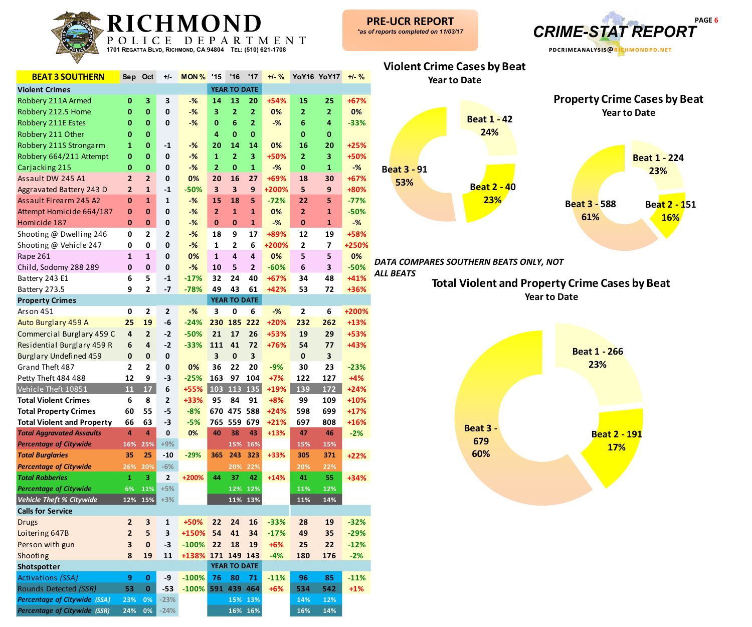

| <b>BEAT 3 SOUTHERN</b>              | Sep                     | Oct                       | +/-                     | MON <sub>%</sub> | '15            | '16                     | '17                     | $+/-$ % |                | <b>YoY16 YoY17</b> | $+/-$ % |
|-------------------------------------|-------------------------|---------------------------|-------------------------|------------------|----------------|-------------------------|-------------------------|---------|----------------|--------------------|---------|
| <b>Violent Crimes</b>               |                         |                           |                         |                  |                | <b>YEAR TO DATE</b>     |                         |         |                |                    |         |
| Robbery 211A Armed                  | 0                       | 3                         | 3                       | $-$ %            | 14             | 13                      | 20                      | +54%    | 15             | 25                 | $+67%$  |
| Robbery 212.5 Home                  | $\bf{0}$                | $\bf{0}$                  | $\mathbf 0$             | $-%$             | 3              | $\overline{2}$          | $\overline{2}$          | 0%      | $\overline{2}$ | $\mathbf{2}$       | 0%      |
| Robbery 211E Estes                  | 0                       | $\bf{0}$                  | 0                       | $-%$             | $\bf{0}$       | 6                       | $\overline{\mathbf{2}}$ | $-%$    | 6              | 4                  | $-33%$  |
| Robbery 211 Other                   | $\bf{0}$                | $\bf{0}$                  |                         |                  | 4              | $\bf{0}$                | $\pmb{0}$               |         | $\mathbf{0}$   | 0                  |         |
| Robbery 211S Strongarm              | 1                       | $\bf{0}$                  | $-1$                    | $-%$             | 20             | 14                      | 14                      | 0%      | 16             | 20                 | $+25%$  |
| Robbery 664/211 Attempt             | $\bf{0}$                | $\bf{0}$                  | $\mathbf 0$             | $-%$             | $\mathbf{1}$   | $\overline{2}$          | 3                       | +50%    | $\overline{2}$ | 3                  | +50%    |
| Carjacking 215                      | $\pmb{0}$               | $\bf{0}$                  | $\mathbf 0$             | $-%$             | $\mathbf{2}$   | $\bf{0}$                | $\mathbf{1}$            | $-%$    | $\bf{0}$       | $\mathbf{1}$       | $-%$    |
| Assault DW 245 A1                   | $\overline{2}$          | $\overline{2}$            | $\pmb{0}$               | 0%               | 20             | 16                      | 27                      | +69%    | 18             | 30                 | $+67%$  |
| Aggravated Battery 243 D            | $\overline{2}$          | $\mathbf{1}$              | $-1$                    | $-50%$           | 3              | 3                       | 9                       | +200%   | 5              | 9                  | +80%    |
| Assault Firearm 245 A2              | $\bf{0}$                | $\mathbf 1$               | $\mathbf 1$             | $-%$             | 15             | 18                      | 5                       | $-72%$  | 22             | 5                  | $-77%$  |
| Attempt Homicide 664/187            | 0                       | $\bf{0}$                  | $\mathbf 0$             | $-%$             | $\overline{2}$ | $\mathbf{1}$            | $\mathbf{1}$            | 0%      | $\overline{2}$ | $\mathbf{1}$       | $-50%$  |
| Homicide 187                        | $\mathbf 0$             | $\bf{0}$                  | $\pmb{0}$               | $-%$             | $\bf{0}$       | $\bf{0}$                | $\mathbf{1}$            | $-%$    | $\mathbf{0}$   | $\mathbf{1}$       | $-%$    |
| Shooting @ Dwelling 246             | $\mathbf 0$             | $\overline{2}$            | $\mathbf{2}$            | $-%$             | 18             | 9                       | 17                      | +89%    | 12             | 19                 | +58%    |
| Shooting @ Vehicle 247              | 0                       | 0                         | $\mathbf 0$             | $-%$             | $\mathbf 1$    | $\overline{2}$          | 6                       | +200%   | $\mathbf{2}$   | $\overline{7}$     | +250%   |
| Rape 261                            | $\mathbf{1}$            | $\mathbf{1}$              | $\mathbf 0$             | 0%               | $\mathbf{1}$   | $\overline{\mathbf{4}}$ | $\overline{4}$          | 0%      | 5              | 5                  | 0%      |
| Child, Sodomy 288 289               | $\mathbf{0}$            | $\pmb{0}$                 | $\pmb{0}$               | $-%$             | 10             | 5                       | $\mathbf{2}$            | $-60%$  | $\bf 6$        | 3                  | $-50%$  |
| Battery 243 E1                      | 6                       | 5                         | $-1$                    | $-17%$           | 32             | 24                      | 40                      | $+67%$  | 34             | 48                 | +41%    |
| Battery 273.5                       | 9                       | $\mathbf{2}$              | $-7$                    | $-78%$           | 49             | 43                      | 61                      | +42%    | 53             | 72                 | +36%    |
| <b>Property Crimes</b>              |                         |                           |                         |                  |                | <b>YEAR TO DATE</b>     |                         |         |                |                    |         |
| Arson 451                           | 0                       | $\mathbf{2}$              | $\mathbf{2}$            | $-$ %            | 3              | 0                       | 6                       | $-%$    | $\mathbf{2}$   | 6                  | +200%   |
| Auto Burglary 459 A                 | 25                      | 19                        | -6                      | $-24%$           | 230            |                         | 185 222                 | +20%    | 232            | 262                | $+13%$  |
| Commercial Burglary 459 C           | $\overline{4}$          | $\overline{\mathbf{c}}$   | $-2$                    | $-50%$           | 21             | 17                      | 26                      | +53%    | 19             | 29                 | +53%    |
| Residential Burglary 459 R          | 6                       | $\overline{4}$            | $-2$                    | $-33%$           | 111            | 41                      | 72                      | +76%    | 54             | 77                 | +43%    |
| <b>Burglary Undefined 459</b>       | $\pmb{0}$               | $\pmb{0}$                 | $\pmb{0}$               |                  | 3              | $\mathbf 0$             | 3                       |         | $\pmb{0}$      | 3                  |         |
| Grand Theft 487                     | $\overline{2}$          | $\overline{2}$            | $\pmb{0}$               | 0%               | 36             | 22                      | 20                      | $-9%$   | 30             | 23                 | $-23%$  |
| Petty Theft 484 488                 | 12                      | 9                         | $-3$                    | $-25%$           | 163            | 97                      | 104                     | $+7%$   | 122            | 127                | $+4%$   |
| Vehicle Theft 10851                 | 11                      | $\overline{\mathbf{17}}$  | 6                       | +55%             | 103            | 113                     | 135                     | +19%    | 139            | 172                | $+24%$  |
| <b>Total Violent Crimes</b>         | 6                       | 8                         | $\mathbf{2}$            | +33%             | 95             | 84                      | 91                      | $+8%$   | 99             | 109                | +10%    |
| <b>Total Property Crimes</b>        | 60                      | 55                        | -5                      | $-8%$            |                | 670 475 588             |                         | $+24%$  | 598            | 699                | $+17%$  |
| <b>Total Violent and Property</b>   | 66                      | 63                        | -3                      | $-5%$            | 765            |                         | 559 679                 | $+21%$  | 697            | 808                | +16%    |
| <b>Total Aggravated Assaults</b>    | 4                       | 4                         | $\mathbf 0$             | 0%               | 40             | 38                      | 43                      | $+13%$  | 47             | 46                 | $-2%$   |
| <b>Percentage of Citywide</b>       | 16%                     | 25%                       | $+9%$                   |                  |                | 15%                     | 16%                     |         | 15%            | 15%                |         |
| <b>Total Burglaries</b>             | 35                      | 25                        | $-10$                   | $-29%$           | 365            | 243                     | 323                     | +33%    | 305            | 371                | $+22%$  |
| <b>Percentage of Citywide</b>       | 26%                     | <b>20%</b>                | $-6%$                   |                  |                | <b>20%</b>              | <b>22%</b>              |         | 20%            | 22%                |         |
| <b>Total Robberies</b>              | 1                       | 3                         | $\mathbf 2$             | +200%            | 44             | 37                      | 42                      | $+14%$  | 41             | 55                 | $+34%$  |
| <b>Percentage of Citywide</b>       | 6%                      | 11%                       | $+5%$                   |                  |                | 12%                     | 12%                     |         | 11%            | 12%                |         |
| <b>Vehicle Theft % Citywide</b>     | 12%                     | 15%                       | $+3%$                   |                  |                |                         | 11% 13%                 |         | 11%            | 14%                |         |
| <b>Calls for Service</b>            |                         |                           |                         |                  |                |                         |                         |         |                |                    |         |
| <b>Drugs</b>                        | $\mathbf{2}$            | $\ensuremath{\mathsf{3}}$ | $\mathbf{1}$            | +50%             | 22             | 24                      | 16                      | $-33%$  | 28             | 19                 | $-32%$  |
| Loitering 647B                      | $\overline{\mathbf{c}}$ | 5                         | $\overline{\mathbf{3}}$ | +150%            | 54             | 41                      | 34                      | $-17%$  | 49             | 35                 | $-29%$  |
| Person with gun                     | 3                       | $\pmb{0}$                 | $-3$                    | $-100%$          | 22             | 18                      | 19                      | $+6%$   | 25             | 22                 | $-12%$  |
| Shooting                            | 8                       | 19                        | 11                      | +138% 171        |                |                         | 149 143                 | $-4%$   | 180            | 176                | $-2%$   |
| Shotspotter                         |                         |                           |                         |                  |                | <b>YEAR TO DATE</b>     |                         |         |                |                    |         |
| <b>Activations (SSA)</b>            | 9                       | $\bf{0}$                  | -9                      | $-100%$          | 76             | 80                      | 71                      | $-11%$  | 96             | 85                 | $-11%$  |
| Rounds Detected (SSR)               | 53                      | $\bf{0}$                  | $-53$                   | $-100%$          | 591            | 439                     | 464                     | $+6%$   | 534            | 542                | $+1%$   |
| <b>Percentage of Citywide (SSA)</b> | 23%                     | 0%                        | $-23%$                  |                  |                |                         | 15% 13%                 |         | 14%            | 12%                |         |
| <b>Percentage of Citywide (SSR)</b> | 24%                     | 0%                        | $-24%$                  |                  |                |                         | 16% 16%                 |         | 16%            | 14%                |         |



*DATA COMPARES SOUTHERN BEATS ONLY, NOT* 

*ALL BEATS*

**Violent Crime Cases by Beat**

**Total Violent and Property Crime Cases by Beat Year to Date**

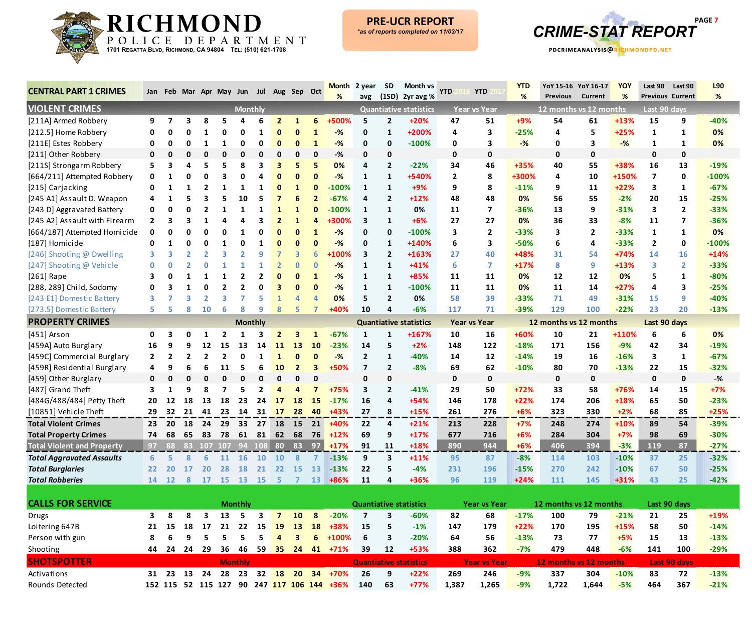



| <b>CENTRAL PART 1 CRIMES</b>      |                |                |                          |                |            |                         | Jan Feb Mar Apr May Jun Jul Aug Sep Oct |                  |                |    | Month                                      | 2 year         | SD             | Month vs<br>avg $(1SD)$ 2yr avg % | <b>YTD</b>   | <b>YTD</b>          | <b>YTD</b><br>% | <b>Previous</b>        | YoY 15-16 YoY 16-17<br>Current | <b>YOY</b><br>% | Last 90                 | Last 90<br><b>Previous Current</b> | L90<br>% |
|-----------------------------------|----------------|----------------|--------------------------|----------------|------------|-------------------------|-----------------------------------------|------------------|----------------|----|--------------------------------------------|----------------|----------------|-----------------------------------|--------------|---------------------|-----------------|------------------------|--------------------------------|-----------------|-------------------------|------------------------------------|----------|
| <b>VIOLENT CRIMES</b>             |                |                |                          |                |            | <b>Monthly</b>          |                                         |                  |                |    |                                            |                |                | <b>Quantiative statistics</b>     |              | <b>Year vs Year</b> |                 | 12 months vs 12 months |                                |                 | Last 90 days            |                                    |          |
| [211A] Armed Robbery              | 9              | $\overline{7}$ | 3                        | 8              |            |                         | 6                                       | $\overline{2}$   |                | 6  | +500%                                      | 5              | $\overline{2}$ | $+20%$                            | 47           | 51                  | $+9%$           | 54                     | 61                             | +13%            | 15                      | 9                                  | $-40%$   |
| [212.5] Home Robbery              | 0              | 0              | 0                        |                |            | 0                       |                                         | 0                | 0              |    | $-%$                                       | 0              | 1              | +200%                             | 4            | 3                   | $-25%$          | 4                      | 5                              | $+25%$          | 1                       | 1                                  | 0%       |
| [211E] Estes Robbery              | 0              | 0              | 0                        | 1              | 1          | 0                       | 0                                       | $\Omega$         | 0              |    | $-%$                                       | 0              | $\mathbf 0$    | $-100%$                           | 0            | 3                   | $-%$            | 0                      | 3                              | $-%$            | 1                       | 1                                  | 0%       |
| [211] Other Robbery               | 0              | n              | 0                        | 0              | 0          | 0                       | 0                                       | $\Omega$         | 0              | 0  | -%                                         | 0              | 0              |                                   | 0            | $\mathbf 0$         |                 | 0                      | 0                              |                 | 0                       | $\mathbf 0$                        |          |
| [211S] Strongarm Robbery          | 5.             | 3              | 4                        | 5              |            | -8                      | 3                                       | 3                | 5              | 5  | 0%                                         | 4              | $\overline{2}$ | $-22%$                            | 34           | 46                  | $+35%$          | 40                     | 55                             | +38%            | 16                      | 13                                 | $-19%$   |
| [664/211] Attempted Robbery       | 0              | 1              | 0                        | O              |            | O                       |                                         | $\bf{0}$         | 0              |    | $-%$                                       | 1              | $\mathbf{1}$   | +540%                             | $\mathbf{2}$ | 8                   | +300%           | 4                      | 10                             | +150%           | $\overline{\mathbf{z}}$ | 0                                  | $-100%$  |
| [215] Carjacking                  | 0              | 1              |                          |                |            | 1                       | -1                                      | O                |                |    | $-100%$                                    | 1              | $\mathbf{1}$   | +9%                               | 9            | 8                   | $-11%$          | 9                      | 11                             | $+22%$          | 3                       | 1                                  | $-67%$   |
| [245 A1] Assault D. Weapon        |                |                |                          |                |            | 10                      |                                         |                  | 6              |    | $-67%$                                     | 4              | $\overline{2}$ | +12%                              | 48           | 48                  | 0%              | 56                     | 55                             | $-2%$           | 20                      | 15                                 | $-25%$   |
| [243 D] Aggravated Battery        | 0              |                | O                        |                |            |                         |                                         |                  |                |    | $-100%$                                    | 1              | $\mathbf{1}$   | 0%                                | 11           | $\overline{ }$      | $-36%$          | 13                     | 9                              | $-31%$          | 3                       | $\mathbf{2}$                       | $-33%$   |
| [245 A2] Assault with Firearm     | 2              | 3              | 3                        |                |            |                         |                                         |                  |                |    | +300%                                      | 3              | $\mathbf{1}$   | $+6%$                             | 27           | 27                  | 0%              | 36                     | 33                             | $-8%$           | 11                      | $\overline{\mathbf{z}}$            | $-36%$   |
| [664/187] Attempted Homicide      | 0              | Ω              | ŋ                        | 0              |            | -1                      | 0                                       | $\bf{0}$         | 0              |    | $-%$                                       | 0              | $\mathbf 0$    | $-100%$                           | 3            | $\overline{2}$      | $-33%$          | 3                      | $\mathbf{2}$                   | $-33%$          | 1                       | $\mathbf{1}$                       | 0%       |
| [187] Homicide                    | 0              | 1              | ŋ                        | O              | 1          | 0                       | 1                                       | $\Omega$         | $\bf{0}$       | O  | $-%$                                       | 0              | $\mathbf{1}$   | +140%                             | 6            | 3                   | $-50%$          | 6                      | 4                              | $-33%$          | $\overline{2}$          | 0                                  | $-100%$  |
| [246] Shooting @ Dwelling         |                | З              | $\overline{\phantom{a}}$ |                |            |                         | q                                       |                  | 3              | 6  | +100%                                      | 3              | $\overline{2}$ | +163%                             | 27           | 40                  | +48%            | 31                     | 54                             | +74%            | 14                      | 16                                 | $+14%$   |
| [247] Shooting @ Vehicle          |                | O              |                          | O              |            |                         |                                         |                  | $\bf{0}$       | 0  | $-%$                                       | 1              | $\mathbf{1}$   | $+41%$                            | 6.           | 7                   | $+17%$          | 8                      | 9                              | +13%            | 3                       | $\mathbf{2}$                       | $-33%$   |
| $[261]$ Rape                      |                |                |                          |                |            | 2                       | 2                                       | O                | 0              |    | $-%$                                       | 1              | $\mathbf{1}$   | +85%                              | 11           | 11                  | 0%              | 12                     | 12                             | 0%              | 5                       | 1                                  | $-80%$   |
| [288, 289] Child, Sodomy          |                |                |                          | በ              |            | $\overline{\mathbf{c}}$ | O                                       |                  | $\bf{0}$       | 0  | $-%$                                       | 1              | $\mathbf{1}$   | $-100%$                           | 11           | 11                  | 0%              | 11                     | 14                             | +27%            | 4                       | 3                                  | $-25%$   |
| [243 E1] Domestic Battery         | 3              |                | 3                        | $\overline{2}$ |            |                         | 5                                       |                  | 4              |    | 0%                                         | 5              | $\overline{2}$ | 0%                                | 58           | 39                  | $-33%$          | 71                     | 49                             | $-31%$          | 15                      | 9.                                 | $-40%$   |
| [273.5] Domestic Battery          | 5.             | 5              | 8                        | 10             | 6          | 8                       | q                                       | 8                | 5              |    | +40%                                       | 10             | 4              | $-6%$                             | 117          | 71                  | $-39%$          | 129                    | 100                            | $-22%$          | 23                      | 20                                 | $-13%$   |
| <b>PROPERTY CRIMES</b>            |                |                |                          |                |            |                         | <b>Monthly</b>                          |                  |                |    |                                            |                |                | <b>Quantiative statistics</b>     |              | <b>Year vs Year</b> |                 | 12 months vs 12 months |                                |                 | Last 90 days            |                                    |          |
| $[451]$ Arson                     | 0              |                |                          |                |            |                         |                                         | $\overline{2}$   | 3              |    | $-67%$                                     | 1              | 1              | +167%                             | 10           | 16                  | +60%            | 10                     | 21                             | +110%           | 6                       | 6                                  | 0%       |
| [459A] Auto Burglary              | 16             | 9              |                          | 12             | 15         | 13                      | 14                                      | 11               | 13             | 10 | $-23%$                                     | 14             | 5              | $+2%$                             | 148          | 122                 | $-18%$          | 171                    | 156                            | $-9%$           | 42                      | 34                                 | $-19%$   |
| [459C] Commercial Burglary        | $\overline{2}$ | -2             | 2                        | 2              |            | 0                       | 1                                       | 1                | 0              |    | $-%$                                       | $\overline{2}$ | $\mathbf{1}$   | $-40%$                            | 14           | 12                  | $-14%$          | 19                     | 16                             | $-16%$          | 3                       | 1                                  | $-67%$   |
| [459R] Residential Burglary       |                |                | 6                        | 6              | 11         | 5                       | 6                                       | 10               | $\overline{2}$ |    | +50%                                       | 7              | $\overline{2}$ | $-8%$                             | 69           | 62                  | $-10%$          | 80                     | 70                             | $-13%$          | 22                      | 15                                 | $-32%$   |
| [459] Other Burglary              | 0              | n              | O                        | O              |            | $\mathbf 0$             | O                                       | 0                | 0              | O  |                                            | 0              | $\mathbf 0$    |                                   | 0            | $\mathbf 0$         |                 | $\mathbf{0}$           | $\mathbf{0}$                   |                 | $\mathbf 0$             | $\mathbf 0$                        | -%       |
| [487] Grand Theft                 |                |                | 9                        | 8              |            | 5                       | $\overline{2}$                          | $\boldsymbol{a}$ | 4              |    | +75%                                       | 3              | $\overline{2}$ | $-41%$                            | 29           | 50                  | $+72%$          | 33                     | 58                             | +76%            | 14                      | 15                                 | $+7%$    |
| [484G/488/484] Petty Theft        | 20             | 12             | 18                       | 13             | 18         | 23                      | 24                                      | 17               | 18             | 15 | $-17%$                                     | 16             | 4              | +54%                              | 146          | 178                 | $+22%$          | 174                    | 206                            | +18%            | 65                      | 50                                 | $-23%$   |
| [10851] Vehicle Theft             | 29             | 32             | 21                       | 41             | 23         |                         | 14 31 17                                |                  | 28             |    | 40 +43%                                    | 27             | 8              | $+15%$                            | 261          | 276                 | $+6%$           | 323                    | 330                            | $+2%$           | 68                      | 85                                 | $+25%$   |
| <b>Total Violent Crimes</b>       | 23             | 20             | 18                       | 24             | 29         | 33                      | 27                                      | 18               | - 15           | 21 | $+40%$                                     | 22             | 4              | $+21%$                            | 213          | 228                 | $+7%$           | 248                    | 274                            | +10%            | 89                      | 54                                 | $-39%$   |
| <b>Total Property Crimes</b>      | 74             | 68             | 65                       | 83             | 78         | 61                      | 81                                      | 62               | 68             | 76 | $+12%$                                     | 69             | 9              | $+17%$                            | 677          | 716                 | $+6%$           | 284                    | 304                            | $+7%$           | 98                      | 69                                 | $-30%$   |
| <b>Total Violent and Property</b> | 97             | -88            |                          |                | 83 107 107 |                         | 94 108                                  | 80               | 83             | 97 | $+17%$                                     | 91             | 11             | +18%                              | 890          | 944                 | $+6%$           | 406                    | 394                            | $-3%$           | 119                     | 87                                 | $-27%$   |
| <b>Total Aggravated Assaults</b>  | 6              | 5              | 8                        | 6              | <b>11</b>  | <b>16</b>               | <b>10</b>                               | <b>10</b>        | 8              | 7  | $-13%$                                     | 9              | 3              | $+11%$                            | 95           | 87                  | $-8%$           | 114                    | 103                            | $-10%$          | 37                      | 25                                 | $-32%$   |
| <b>Total Burglaries</b>           | 22             | 20             | 17                       | 20             | 28         | <b>18</b>               | 21                                      | 22               | 15             | 13 | $-13%$                                     | 22             | 5              | -4%                               | 231          | 196                 | $-15%$          | 270                    | 242                            | $-10%$          | 67                      | 50                                 | -25%     |
| <b>Total Robberies</b>            |                |                |                          |                |            |                         | 14 12 8 17 15 13 15 5                   |                  | $\blacksquare$ |    | 13 +86%                                    | 11             | 4              | +36%                              | 96           | 119                 | $+24%$          | 111                    | 145                            | +31%            | 43                      | 25                                 | $-42%$   |
|                                   |                |                |                          |                |            |                         |                                         |                  |                |    |                                            |                |                |                                   |              |                     |                 |                        |                                |                 |                         |                                    |          |
| <b>CALLS FOR SERVICE</b>          |                |                |                          |                |            | <b>Monthly</b>          |                                         |                  |                |    |                                            |                |                | <b>Quantiative statistics</b>     |              | <b>Year vs Year</b> |                 | 12 months vs 12 months |                                |                 |                         | Last 90 days                       |          |
| Drugs                             | 3              | 8              | 8                        | $\mathbf{3}$   |            | 13 5                    | $\overline{\mathbf{3}}$                 | $\overline{7}$   | 10             | 8  | $-20%$                                     | $\overline{7}$ | 3              | $-60%$                            | 82           | 68                  | $-17%$          | 100                    | 79                             | $-21%$          | 21                      | 25                                 | +19%     |
| Loitering 647B                    | 21             | 15             | 18                       | 17             | 21         | 22                      | 15                                      | 19               | 13             | 18 | +38%                                       | 15             | 5              | $-1%$                             | 147          | 179                 | $+22%$          | 170                    | 195                            | +15%            | 58                      | 50                                 | $-14%$   |
| Person with gun                   | 8              | 6              | 9                        | 5              | 5          | 5                       | 5                                       | 4                | 3              |    | $6 + 100%$                                 | 6              | 3              | $-20%$                            | 64           | 56                  | $-13%$          | 73                     | 77                             | $+5%$           | 15                      | 13                                 | $-13%$   |
| Shooting                          | 44             |                |                          |                |            |                         |                                         |                  |                |    | 24 24 29 36 46 59 35 24 41 +71%            | 39             | 12             | +53%                              | 388          | 362                 | $-7%$           | 479                    | 448                            | $-6%$           | 141                     | 100                                | $-29%$   |
| <b>SHOTSPOTTER</b>                |                |                |                          |                |            | <b>Monthly</b>          |                                         |                  |                |    |                                            |                |                | <b>Quantiative statistics</b>     |              | <b>Year vs Year</b> |                 | 12 months vs 12 months |                                |                 |                         | Last 90 days                       |          |
| Activations                       |                |                |                          |                |            |                         |                                         |                  |                |    | 31 23 13 24 28 23 32 18 20 34 +70%         | 26             | 9              | $+22%$                            | 269          | 246                 | $-9%$           | 337                    | 304                            | $-10%$          | 83                      | 72                                 | $-13%$   |
| Rounds Detected                   |                |                |                          |                |            |                         |                                         |                  |                |    | 152 115 52 115 127 90 247 117 106 144 +36% | 140            | 63             | $+77%$                            | 1,387        | 1,265               | $-9%$           | 1,722                  | 1,644                          | $-5%$           | 464                     | 367                                | $-21%$   |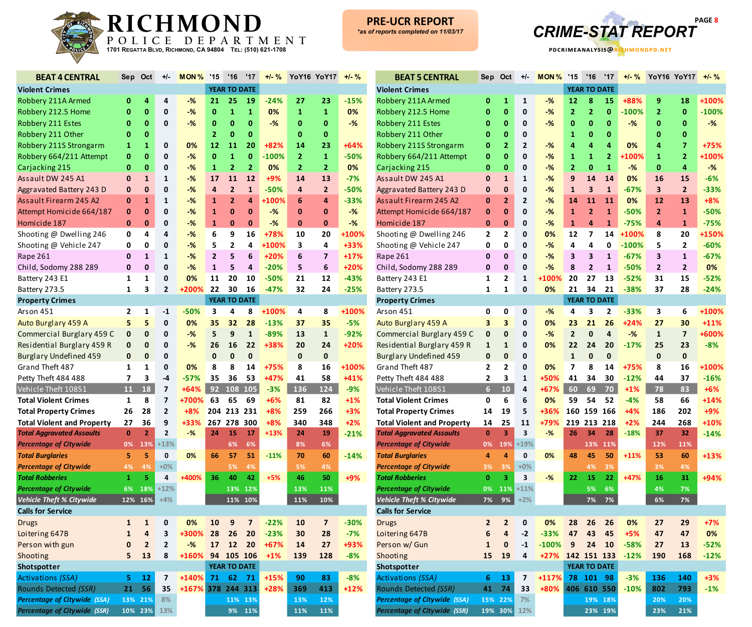

and the company of the company of

**College** 



**-1708 pdcrimeanalysis@richmondpd.net**

| <b>BEAT 4 CENTRAL</b>                                    | Sep            | Oct                     | +/-          | MON <sub>%</sub> | '15            | '16                 | '17                     | $+/-$ % |                | YoY16 YoY17             | $+/-$ % |                              |
|----------------------------------------------------------|----------------|-------------------------|--------------|------------------|----------------|---------------------|-------------------------|---------|----------------|-------------------------|---------|------------------------------|
| <b>Violent Crimes</b>                                    |                |                         |              |                  |                | <b>YEAR TO DATE</b> |                         |         |                |                         |         | Viole                        |
| Robbery 211A Armed                                       | 0              | 4                       | 4            | $-$ %            | 21             | 25                  | 19                      | $-24%$  | 27             | 23                      | $-15%$  | Robl                         |
| Robbery 212.5 Home                                       | 0              | $\bf{0}$                | 0            | $-%$             | $\mathbf{0}$   | $\mathbf{1}$        | $\mathbf{1}$            | 0%      | $\mathbf{1}$   | 1                       | 0%      | Robl                         |
| Robbery 211 Estes                                        | 0              | $\bf{0}$                | 0            | $-%$             | $\bf{0}$       | $\bf{0}$            | 0                       | $-%$    | $\bf{0}$       | 0                       | $-$ %   | Robl                         |
| Robbery 211 Other                                        | 0              | $\bf{0}$                |              |                  | $\overline{2}$ | $\mathbf{0}$        | $\bf{0}$                |         | 0              | 0                       |         | Robl                         |
| Robbery 211S Strongarm                                   | $\mathbf{1}$   | $\mathbf{1}$            | 0            | 0%               | 12             | 11                  | 20                      | $+82%$  | 14             | 23                      | $+64%$  | Robl                         |
| Robbery 664/211 Attempt                                  | 0              | $\bf{0}$                | 0            | $-%$             | $\mathbf 0$    | $\mathbf{1}$        | $\mathbf{0}$            | $-100%$ | $\overline{2}$ | $\mathbf{1}$            | $-50%$  | Robl                         |
| Carjacking 215                                           | $\bf{0}$       | 0                       | 0            | $-%$             | $\mathbf{1}$   | $\overline{2}$      | $\overline{2}$          | 0%      | $\overline{2}$ | $\overline{2}$          | 0%      | Carj                         |
| Assault DW 245 A1                                        | $\bf{0}$       | $\mathbf{1}$            | 1            | $-%$             | 17             | 11                  | 12                      | $+9%$   | 14             | 13                      | $-7%$   | Assa                         |
| Aggravated Battery 243 D                                 | $\bf{0}$       | $\mathbf 0$             | 0            | $-%$             | $\overline{4}$ | $\overline{2}$      | $\mathbf{1}$            | $-50%$  | 4              | $\overline{2}$          | $-50%$  | Aggr                         |
| Assault Firearm 245 A2                                   | $\bf{0}$       | $\mathbf{1}$            | $\mathbf{1}$ | $-%$             | $\mathbf{1}$   | $\overline{2}$      | 4                       | +100%   | 6              | 4                       | $-33%$  | Assa                         |
| Attempt Homicide 664/187                                 | 0              | $\mathbf{0}$            | 0            | $-%$             | $\mathbf{1}$   | $\bf{0}$            | 0                       | $-$ %   | 0              | 0                       | $-$ %   | <b>Atter</b>                 |
| Homicide 187                                             | $\bf{0}$       | $\mathbf{0}$            | 0            | $-%$             | $\mathbf{1}$   | $\bf{0}$            | 0                       | $-$ %   | 0              | 0                       | $-$ %   | Hom                          |
| Shooting @ Dwelling 246                                  | 0              | 4                       | 4            | $-%$             | 6              | 9                   | 16                      | +78%    | 10             | 20                      | +100%   | Shoc                         |
| Shooting @ Vehicle 247                                   | 0              | 0                       | 0            | $-%$             | 5              | $\mathbf{2}$        | 4                       | +100%   | 3              | 4                       | +33%    | Shoc                         |
| Rape 261                                                 | $\mathbf 0$    | $\mathbf{1}$            | $\mathbf{1}$ | $-$ %            | $\overline{2}$ | 5                   | 6                       | $+20%$  | 6              | $\overline{\mathbf{z}}$ | $+17%$  | Rape                         |
| Child, Sodomy 288 289                                    | $\mathbf{0}$   | $\mathbf 0$             | 0            | $-%$             | $\mathbf{1}$   | 5                   | $\overline{4}$          | $-20%$  | 5              | 6                       | $+20%$  | Chile                        |
| Battery 243 E1                                           | $\mathbf{1}$   | $\mathbf{1}$            | 0            | 0%               | 11             | 20                  | 10                      | $-50%$  | 21             | 12                      | $-43%$  | <b>Batte</b>                 |
| Battery 273.5                                            | 1              | 3                       | $\mathbf{2}$ | +200%            | 22             | 30                  | 16                      | $-47%$  | 32             | 24                      | $-25%$  | <b>Batt</b>                  |
| <b>Property Crimes</b>                                   |                |                         |              |                  |                | <b>YEAR TO DATE</b> |                         |         |                |                         |         | Prop                         |
| Arson 451                                                | $\mathbf{2}$   | 1                       | $-1$         | $-50%$           | 3              | 4                   | 8                       | +100%   | 4              | 8                       | +100%   | Arso                         |
| Auto Burglary 459 A                                      | 5              | 5                       | 0            | 0%               | 35             | 32                  | 28                      | $-13%$  | 37             | 35                      | $-5%$   | Auto                         |
| Commercial Burglary 459 C                                | $\bf{0}$       | $\mathbf 0$             | 0            | $-%$             | 5              | 9                   | $\mathbf{1}$            | $-89%$  | 13             | $\mathbf{1}$            | $-92%$  | Com                          |
| Residential Burglary 459 R                               | 0              | $\mathbf 0$             | 0            | $-$ %            | 26             | 16                  | 22                      | +38%    | 20             | 24                      | $+20%$  | Resi                         |
| <b>Burglary Undefined 459</b>                            | $\pmb{0}$      | $\mathbf 0$             | 0            |                  | $\pmb{0}$      | $\mathbf{0}$        | $\mathbf{0}$            |         | $\pmb{0}$      | $\mathbf{0}$            |         | <b>Burg</b>                  |
| Grand Theft 487                                          | 1              | 1                       | 0            | 0%               | 8              | 8                   | 14                      | +75%    | 8              | 16                      | +100%   | Grar                         |
| Petty Theft 484 488                                      | $\overline{7}$ | 3                       | $-4$         | $-57%$           | 35             | 36                  | 53                      | +47%    | 41             | 58                      | $+41%$  | Petty                        |
| Vehicle Theft 10851                                      | 11             | 18                      | 7            | +64%             | 92             | 108                 | 105                     | $-3%$   | 136            | 124                     | $-9%$   | Vehi                         |
| <b>Total Violent Crimes</b>                              | 1              | 8                       | 7            | +700%            | 63             | 65                  | 69                      | $+6%$   | 81             | 82                      | $+1%$   | <b>Tota</b>                  |
| <b>Total Property Crimes</b>                             | 26             | 28                      | $\mathbf{2}$ | $+8%$            |                | 204 213 231         |                         | $+8%$   | 259            | 266                     | $+3%$   | <b>Tota</b>                  |
| <b>Total Violent and Property</b>                        | 27             | 36                      | 9            | +33%             |                | 267 278 300         |                         | $+8%$   | 340            | 348                     | $+2%$   | <b>Tota</b>                  |
| <b>Total Aggravated Assaults</b>                         | $\mathbf{0}$   | $\overline{2}$          | 2            | $-$ %            | 24             | 15                  | 17                      | $+13%$  | 24             | 19                      | $-21%$  | <b>Total</b>                 |
| <b>Percentage of Citywide</b><br><b>Total Burglaries</b> | 0%<br>5        | 13%<br>5                | $+13%$<br>0  | 0%               |                | 6%<br>57            | 6%<br>51                | $-11%$  | 8%<br>70       | 6%                      |         | Perce                        |
| <b>Percentage of Citywide</b>                            | 4%             | 4%                      | $+0%$        |                  | 66             | 5%                  | 4%                      |         | 5%             | 60                      | $-14%$  | <b>Total</b>                 |
| <b>Total Robberies</b>                                   | 1              | 5                       | 4            | +400%            | 36             | 40                  | 42                      | $+5%$   | 46             | 4%<br>50                | +9%     | <b>Perce</b><br><b>Total</b> |
| <b>Percentage of Citywide</b>                            | 6%             | 18%                     | $+12%$       |                  |                |                     | 13% 12%                 |         | 13%            | 11%                     |         | Perce                        |
| <b>Vehicle Theft % Citywide</b>                          | 12%            | 16%                     | $+4%$        |                  |                |                     | 11% 10%                 |         | 11%            | 10%                     |         | Vehio                        |
| <b>Calls for Service</b>                                 |                |                         |              |                  |                |                     |                         |         |                |                         |         | Calls                        |
| <b>Drugs</b>                                             | $\mathbf 1$    | $\mathbf{1}$            | 0            | 0%               | 10             | $\boldsymbol{9}$    | $\overline{\mathbf{z}}$ | $-22%$  | 10             | $\overline{\mathbf{z}}$ | $-30%$  | Drug                         |
| Loitering 647B                                           | $\mathbf{1}$   | $\overline{\mathbf{4}}$ | 3            | +300%            | 28             | 26                  | 20                      | $-23%$  | 30             | 28                      | $-7%$   | Loite                        |
| Person with gun                                          | $\mathbf 0$    | $\overline{2}$          | $\mathbf{2}$ | $-%$             | 17             | 12                  | 20                      | +67%    | 14             | 27                      | +93%    | Pers                         |
| Shooting                                                 | 5              | 13                      | 8            | +160%            | 94             | 105 106             |                         | $+1%$   | 139            | 128                     | $-8%$   | Shoc                         |
| Shotspotter                                              |                |                         |              |                  |                | <b>YEAR TO DATE</b> |                         |         |                |                         |         | <b>Shot</b>                  |
| Activations (SSA)                                        | 5              | 12                      | 7            | +140%            | 71             | 62                  | 71                      | $+15%$  | 90             | 83                      | $-8%$   | <b>Acti</b>                  |
| Rounds Detected (SSR)                                    | 21             | 56                      | 35           | +167% 378        |                |                     | 244 313                 | +28%    | 369            | 413                     | $+12%$  | Rour                         |
| <b>Percentage of Citywide (SSA)</b>                      |                | 13% 21%                 | 8%           |                  |                |                     | 11% 13%                 |         | 13%            | 12%                     |         | Perce                        |
| <b>Percentage of Citywide (SSR)</b>                      |                | 10% 23%                 | 13%          |                  |                |                     | 9% 11%                  |         | 11%            | 11%                     |         | Perce                        |

| <b>BEAT 5 CENTRAL</b>               | Sep             | Oct            | +/-            | <b>MON%</b> | '15            | '16                     | '17                     | $+/-$ % |                         | <b>YoY16 YoY17</b> | $+/-$ % |
|-------------------------------------|-----------------|----------------|----------------|-------------|----------------|-------------------------|-------------------------|---------|-------------------------|--------------------|---------|
| <b>Violent Crimes</b>               |                 |                |                |             |                | <b>YEAR TO DATE</b>     |                         |         |                         |                    |         |
| Robbery 211A Armed                  | 0               | 1              | 1              | -%          | 12             | 8                       | 15                      | +88%    | 9                       | 18                 | +100%   |
| Robbery 212.5 Home                  | 0               | $\mathbf 0$    | 0              | $-$ %       | $\overline{2}$ | $\overline{2}$          | $\pmb{0}$               | $-100%$ | $\overline{2}$          | 0                  | $-100%$ |
| Robbery 211 Estes                   | 0               | 0              | 0              | $-$ %       | $\bf{0}$       | $\bf{0}$                | 0                       | $-%$    | $\bf{0}$                | 0                  | $-%$    |
| Robbery 211 Other                   | 0               | 0              | 0              |             | $\mathbf{1}$   | $\bf{0}$                | 0                       |         | $\bf{0}$                | 0                  |         |
| Robbery 211S Strongarm              | 0               | $\overline{2}$ | $\overline{2}$ | -%          | 4              | 4                       | 4                       | 0%      | $\overline{4}$          | $\overline{7}$     | +75%    |
| Robbery 664/211 Attempt             | 0               | $\mathbf{0}$   | $\mathbf 0$    | -%          | 1              | 1                       | $\overline{2}$          | +100%   | 1                       | 2                  | +100%   |
| Carjacking 215                      | 0               | 0              | 0              | $-%$        | $\overline{2}$ | $\bf{0}$                | $\mathbf{1}$            | $-$ %   | $\bf{0}$                | 4                  | $-%$    |
| Assault DW 245 A1                   | 0               | $\mathbf{1}$   | 1              | $-%$        | 9              | 14                      | 14                      | 0%      | 16                      | 15                 | $-6%$   |
| Aggravated Battery 243 D            | 0               | 0              | 0              | $-%$        | $\mathbf{1}$   | $\overline{\mathbf{3}}$ | $\mathbf{1}$            | $-67%$  | 3                       | $\overline{2}$     | $-33%$  |
| <b>Assault Firearm 245 A2</b>       | 0               | $\overline{2}$ | $\overline{2}$ | -%          | 14             | 11                      | 11                      | 0%      | 12                      | 13                 | $+8%$   |
| Attempt Homicide 664/187            | 0               | $\bf{0}$       | 0              | $-$ %       | 1              | $\overline{2}$          | $\mathbf{1}$            | $-50%$  | $\overline{2}$          | 1                  | $-50%$  |
| Homicide 187                        | $\mathbf{0}$    | 0              | $\mathbf 0$    | $-%$        | $\mathbf{1}$   | 4                       | 1                       | $-75%$  | 4                       | $\mathbf{1}$       | $-75%$  |
| Shooting @ Dwelling 246             | $\overline{2}$  | $\overline{2}$ | 0              | 0%          | 12             | 7                       | 14                      | +100%   | 8                       | 20                 | +150%   |
| Shooting @ Vehicle 247              | 0               | 0              | 0              | $-$ %       | 4              | 4                       | 0                       | $-100%$ | 5                       | $\overline{2}$     | $-60%$  |
| Rape 261                            | 0               | $\mathbf 0$    | 0              | $-%$        | 3              | 3                       | $\mathbf{1}$            | $-67%$  | 3                       | $\mathbf{1}$       | $-67%$  |
| Child, Sodomy 288 289               | 0               | 0              | 0              | $-$ %       | 8              | $\overline{2}$          | $\mathbf{1}$            | $-50%$  | $\overline{\mathbf{c}}$ | $\mathbf{2}$       | 0%      |
| Battery 243 E1                      | 1               | $\overline{2}$ | 1              | +100%       | 20             | 27                      | 13                      | $-52%$  | 31                      | 15                 | $-52%$  |
| Battery 273.5                       | 1               | $\mathbf{1}$   | 0              | 0%          | 21             | 34                      | 21                      | $-38%$  | 37                      | 28                 | $-24%$  |
| <b>Property Crimes</b>              |                 |                |                |             |                | <b>YEAR TO DATE</b>     |                         |         |                         |                    |         |
| Arson 451                           | 0               | 0              | 0              | $-$ %       | 4              | 3                       | $\overline{2}$          | $-33%$  | 3                       | 6                  | +100%   |
| Auto Burglary 459 A                 | 3               | 3              | 0              | 0%          | 23             | 21                      | 26                      | $+24%$  | 27                      | 30                 | $+11%$  |
| Commercial Burglary 459 C           | $\mathbf{0}$    | $\mathbf 0$    | 0              | $-%$        | $\overline{2}$ | $\mathbf 0$             | $\overline{\mathbf{4}}$ | $-$ %   | $\mathbf{1}$            | $\overline{7}$     | +600%   |
| Residential Burglary 459 R          | $\mathbf{1}$    | $\mathbf{1}$   | 0              | 0%          | 22             | 24                      | 20                      | $-17%$  | 25                      | 23                 | $-8%$   |
| <b>Burglary Undefined 459</b>       | 0               | 0              | 0              |             | $\mathbf{1}$   | $\mathbf 0$             | 0                       |         | $\mathbf 0$             | 0                  |         |
| Grand Theft 487                     | $\mathbf{2}$    | $\overline{2}$ | 0              | 0%          | 7              | 8                       | 14                      | +75%    | 8                       | 16                 | +100%   |
| Petty Theft 484 488                 | $\overline{2}$  | 3              | $\mathbf{1}$   | +50%        | 41             | 34                      | 30                      | $-12%$  | 44                      | 37                 | $-16%$  |
| Vehicle Theft 10851                 | $6\phantom{a}$  | 10             | 4              | +67%        | 60             | 69                      | 70                      | $+1%$   | 78                      | 83                 | $+6%$   |
| <b>Total Violent Crimes</b>         | 0               | 6              | 6              | 0%          | 59             | 54                      | 52                      | $-4%$   | 58                      | 66                 | $+14%$  |
| <b>Total Property Crimes</b>        | 14              | 19             | 5              | +36%        | 160            | 159                     | 166                     | $+4%$   | 186                     | 202                | +9%     |
| <b>Total Violent and Property</b>   | 14              | 25             | 11             | +79%        | 219            | 213 218                 |                         | $+2%$   | 244                     | 268                | +10%    |
| <b>Total Aggravated Assaults</b>    | $\bf{0}$        | 3              | 3              | -%          | 26             | 34                      | 28                      | $-18%$  | 37                      | 32                 | $-14%$  |
| <b>Percentage of Citywide</b>       | 0%              | 19%            | +19%           |             |                | 13%                     | 11%                     |         | 12%                     | 11%                |         |
| <b>Total Burglaries</b>             | 4               | 4              | 0              | 0%          | 48             | 45                      | 50                      | $+11%$  | 53                      | 60                 | $+13%$  |
| <b>Percentage of Citywide</b>       | 3%              | 3%             | $+0%$          |             |                | 4%                      | 3%                      |         | 3%                      | 4%                 |         |
| <b>Total Robberies</b>              | $\mathbf{0}$    | 3              | 3              | $-$ %       | 22             | 15                      | 22                      | $+47%$  | 16                      | 31                 | +94%    |
| <b>Percentage of Citywide</b>       | 0%              | 11%            | $+11%$         |             |                | 5%                      | 6%                      |         | 4%                      | 7%                 |         |
| <b>Vehicle Theft % Citywide</b>     | 7%              | 9%             | $+2%$          |             |                | 7%                      | $7\%$                   |         | 6%                      | 7%                 |         |
| <b>Calls for Service</b>            |                 |                |                |             |                |                         |                         |         |                         |                    |         |
| <b>Drugs</b>                        | $\mathbf{2}$    | $\overline{2}$ | 0              | 0%          | 28             | 26                      | 26                      | 0%      | 27                      | 29                 | $+7%$   |
| Loitering 647B                      | 6               | 4              | $-2$           | $-33%$      | 47             | 43                      | 45                      | $+5%$   | 47                      | 47                 | 0%      |
| Person w/ Gun                       | $\mathbf{1}$    | $\bf{0}$       | $-1$           | $-100%$     | 9              | 24                      | 10                      | $-58%$  | 27                      | 13                 | $-52%$  |
| <b>Shooting</b>                     | 15              | 19             | 4              | $+27%$      |                | 142 151 133             |                         | $-12%$  | 190                     | 168                | $-12%$  |
| <b>Shotspotter</b>                  |                 |                |                |             |                | YEAR TO DATE            |                         |         |                         |                    |         |
| <b>Activations (SSA)</b>            | $6\phantom{1}6$ | 13             | 7              | +117%       | 78             | 101                     | 98                      | $-3%$   | 136                     | 140                | $+3%$   |
| Rounds Detected (SSR)               | 41              | 74             | 33             | +80%        |                | 406 610 550             |                         | $-10%$  | 802                     | 793                | $-1%$   |
| <b>Percentage of Citywide (SSA)</b> | 15%             | 22%            | 7%             |             |                |                         | 19% 18%                 |         | 20%                     | 20%                |         |
| <b>Percentage of Citywide (SSR)</b> | 19% 30%         |                | 12%            |             |                |                         | 23% 19%                 |         | 23%                     | 21%                |         |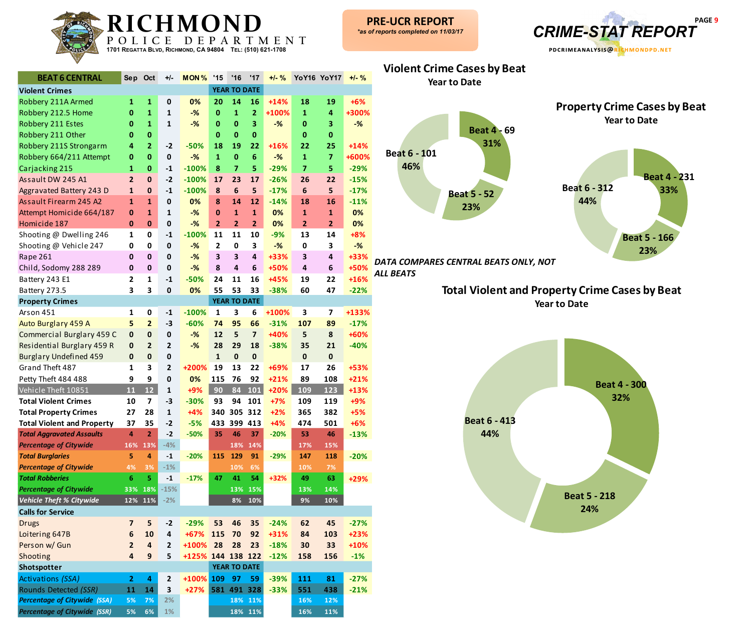

**Beat 4 - 231 33%**

**23%**

| <b>BEAT 6 CENTRAL</b>               | Sep                     | Oct                     | +/-            | MON%              | '15                     | '16                 | '17                     | $+/-$ % |                | YoY16 YoY17             | $+1 - \frac{9}{6}$ |
|-------------------------------------|-------------------------|-------------------------|----------------|-------------------|-------------------------|---------------------|-------------------------|---------|----------------|-------------------------|--------------------|
| <b>Violent Crimes</b>               |                         |                         |                |                   |                         | <b>YEAR TO DATE</b> |                         |         |                |                         |                    |
| Robbery 211A Armed                  | $\mathbf{1}$            | $\mathbf{1}$            | 0              | 0%                | 20                      | 14                  | 16                      | $+14%$  | 18             | 19                      | $+6%$              |
| Robbery 212.5 Home                  | $\bf{0}$                | $\mathbf{1}$            | $\mathbf{1}$   | $-$ %             | $\bf{0}$                | $\mathbf{1}$        | $\overline{2}$          | +100%   | $\mathbf{1}$   | $\overline{\mathbf{4}}$ | +300%              |
| Robbery 211 Estes                   | 0                       | 1                       | $\mathbf{1}$   | $-$ %             | $\bf{0}$                | $\bf{0}$            | $\overline{\mathbf{3}}$ | $-%$    | $\bf{0}$       | 3                       | $-%$               |
| Robbery 211 Other                   | 0                       | $\mathbf 0$             |                |                   | 0                       | $\bf{0}$            | $\mathbf{0}$            |         | $\bf{0}$       | 0                       |                    |
| Robbery 211S Strongarm              | 4                       | $\overline{2}$          | $-2$           | $-50%$            | 18                      | 19                  | 22                      | +16%    | 22             | 25                      | $+14%$             |
| Robbery 664/211 Attempt             | $\bf{0}$                | 0                       | 0              | $-$ %             | $\mathbf{1}$            | $\mathbf 0$         | 6                       | $-%$    | $\mathbf{1}$   | $\overline{7}$          | +600%              |
| Carjacking 215                      | $\mathbf{1}$            | $\mathbf 0$             | $-1$           | $-100%$           | 8                       | $\overline{7}$      | 5                       | $-29%$  | $\overline{7}$ | 5                       | $-29%$             |
| Assault DW 245 A1                   | $\overline{2}$          | $\bf{0}$                | $-2$           | $-100%$           | 17                      | 23                  | 17                      | $-26%$  | 26             | 22                      | $-15%$             |
| Aggravated Battery 243 D            | $\mathbf{1}$            | $\mathbf 0$             | $-1$           | $-100%$           | 8                       | $6\phantom{1}6$     | 5                       | $-17%$  | 6              | 5                       | $-17%$             |
| Assault Firearm 245 A2              | 1                       | $\mathbf{1}$            | $\mathbf{0}$   | 0%                | 8                       | 14                  | 12                      | $-14%$  | 18             | 16                      | $-11%$             |
| Attempt Homicide 664/187            | 0                       | $\mathbf{1}$            | 1              | $-$ %             | $\mathbf{0}$            | $\mathbf{1}$        | $\mathbf{1}$            | 0%      | $\mathbf{1}$   | $\mathbf{1}$            | 0%                 |
| Homicide 187                        | 0                       | 0                       | 0              | $-$ %             | $\overline{2}$          | $\overline{2}$      | $\overline{2}$          | 0%      | $\overline{2}$ | $\overline{2}$          | 0%                 |
| Shooting @ Dwelling 246             | $\mathbf{1}$            | 0                       | $-1$           | $-100%$           | 11                      | 11                  | 10                      | $-9%$   | 13             | 14                      | $+8%$              |
| Shooting @ Vehicle 247              | 0                       | 0                       | $\mathbf{0}$   | $-$ %             | $\overline{2}$          | $\mathbf 0$         | 3                       | $-%$    | 0              | 3                       | $-%$               |
| Rape 261                            | $\mathbf 0$             | 0                       | $\mathbf{0}$   | $-$ %             | $\overline{\mathbf{3}}$ | 3                   | 4                       | +33%    | 3              | 4                       | +33%               |
| Child, Sodomy 288 289               | $\bf{0}$                | $\mathbf{0}$            | $\mathbf 0$    | $-$ %             | 8                       | $\overline{4}$      | $6\phantom{1}6$         | +50%    | 4              | 6                       | +50%               |
| Battery 243 E1                      | $\overline{\mathbf{2}}$ | $\mathbf{1}$            | $-1$           | $-50%$            | 24                      | 11                  | 16                      | +45%    | 19             | 22                      | +16%               |
| Battery 273.5                       | 3                       | 3                       | $\pmb{0}$      | 0%                | 55                      | 53                  | 33                      | $-38%$  | 60             | 47                      | $-22%$             |
| <b>Property Crimes</b>              |                         |                         |                |                   |                         | <b>YEAR TO DATE</b> |                         |         |                |                         |                    |
| Arson 451                           | 1                       | 0                       | $-1$           | $-100%$           | 1                       | 3                   | 6                       | +100%   | 3              | 7                       | +133%              |
| Auto Burglary 459 A                 | 5                       | $\overline{2}$          | $-3$           | $-60%$            | 74                      | 95                  | 66                      | $-31%$  | 107            | 89                      | $-17%$             |
| Commercial Burglary 459 C           | $\bf{0}$                | $\pmb{0}$               | 0              | $-$ %             | 12                      | 5                   | $\overline{7}$          | +40%    | 5              | 8                       | +60%               |
| Residential Burglary 459 R          | 0                       | $\overline{2}$          | 2              | $-$ %             | 28                      | 29                  | 18                      | $-38%$  | 35             | 21                      | $-40%$             |
| <b>Burglary Undefined 459</b>       | $\bf{0}$                | $\mathbf 0$             | 0              |                   | $\mathbf{1}$            | $\pmb{0}$           | $\pmb{0}$               |         | $\mathbf 0$    | $\mathbf 0$             |                    |
| Grand Theft 487                     | $\mathbf{1}$            | 3                       | $\overline{2}$ | +200%             | 19                      | 13                  | 22                      | +69%    | 17             | 26                      | +53%               |
| Petty Theft 484 488                 | 9                       | 9                       | $\mathbf{0}$   | 0%                | 115                     | 76                  | 92                      | $+21%$  | 89             | 108                     | $+21%$             |
| Vehicle Theft 10851                 | 11                      | 12                      | $\mathbf{1}$   | +9%               | 90                      | 84                  | 101                     | $+20%$  | 109            | 123                     | +13%               |
| <b>Total Violent Crimes</b>         | 10                      | 7                       | $-3$           | $-30%$            | 93                      | 94                  | 101                     | $+7%$   | 109            | 119                     | $+9%$              |
| <b>Total Property Crimes</b>        | 27                      | 28                      | 1              | $+4%$             | 340                     |                     | 305 312                 | $+2%$   | 365            | 382                     | $+5%$              |
| <b>Total Violent and Property</b>   | 37                      | 35                      | $-2$           | $-5%$             | 433                     |                     | 399 413                 | $+4%$   | 474            | 501                     | $+6%$              |
| <b>Total Aggravated Assaults</b>    | 4                       | $\overline{2}$          | $-2$           | $-50%$            | 35                      | 46                  | 37                      | $-20%$  | 53             | 46                      | $-13%$             |
| <b>Percentage of Citywide</b>       | 16%                     | 13%                     | $-4%$          |                   |                         | 18%                 | 14%                     |         | 17%            | 15%                     |                    |
| <b>Total Burglaries</b>             | 5                       | 4                       | $-1$           | $-20%$            | 115                     | 129                 | 91                      | $-29%$  | 147            | 118                     | $-20%$             |
| <b>Percentage of Citywide</b>       | 4%                      | 3%                      | $-1%$          |                   |                         | 10%                 | 6%                      |         | 10%            | 7%                      |                    |
| <b>Total Robberies</b>              | $6\phantom{1}$          | 5                       | $\textbf{-1}$  | $-17%$            | 47                      | 41                  | 54                      | $+32%$  | 49             | 63                      | $+29%$             |
| <b>Percentage of Citywide</b>       | 33%                     | 18%                     | $-15%$         |                   |                         | 13%                 | 15%                     |         | 13%            | 14%                     |                    |
| <b>Vehicle Theft % Citywide</b>     |                         | $12\%$ 11%              | $-2%$          |                   |                         | 8%                  | 10%                     |         | 9%             | 10%                     |                    |
| <b>Calls for Service</b>            |                         |                         |                |                   |                         |                     |                         |         |                |                         |                    |
| <b>Drugs</b>                        | $\overline{7}$          | 5                       | $-2$           | $-29%$            | 53                      | 46                  | 35                      | $-24%$  | 62             | 45                      | $-27%$             |
| Loitering 647B                      | $\bf 6$                 | 10                      | 4              | +67%              | 115                     | 70                  | 92                      | +31%    | 84             | 103                     | +23%               |
| Person w/ Gun                       | $\overline{2}$          | $\overline{\mathbf{4}}$ | $\mathbf{2}$   | +100%             | 28                      | 28                  | 23                      | $-18%$  | 30             | 33                      | +10%               |
| Shooting                            | $\overline{4}$          | $\boldsymbol{9}$        | 5              | +125% 144 138 122 |                         |                     |                         | $-12%$  | 158            | 156                     | $-1%$              |
| Shotspotter                         |                         |                         |                |                   |                         | YEAR TO DATE        |                         |         |                |                         |                    |
| Activations (SSA)                   | $\overline{2}$          | 4                       | $\mathbf{2}$   | +100%             | 109                     | 97                  | 59                      | $-39%$  | 111            | 81                      | $-27%$             |
| Rounds Detected (SSR)               | 11                      | 14                      | 3              | $+27%$            |                         |                     | 581 491 328             | $-33%$  | 551            | 438                     | $-21%$             |
| <b>Percentage of Citywide (SSA)</b> | 5%                      | 7%                      | 2%             |                   |                         |                     | 18% 11%                 |         | 16%            | 12%                     |                    |

*Percentage of Citywide (SSR)* **5 % 6 % 1% 18% 11% 16% 11%**



*DATA COMPARES CENTRAL BEATS ONLY, NOT ALL BEATS*

> **Total Violent and Property Crime Cases by Beat Year to Date**

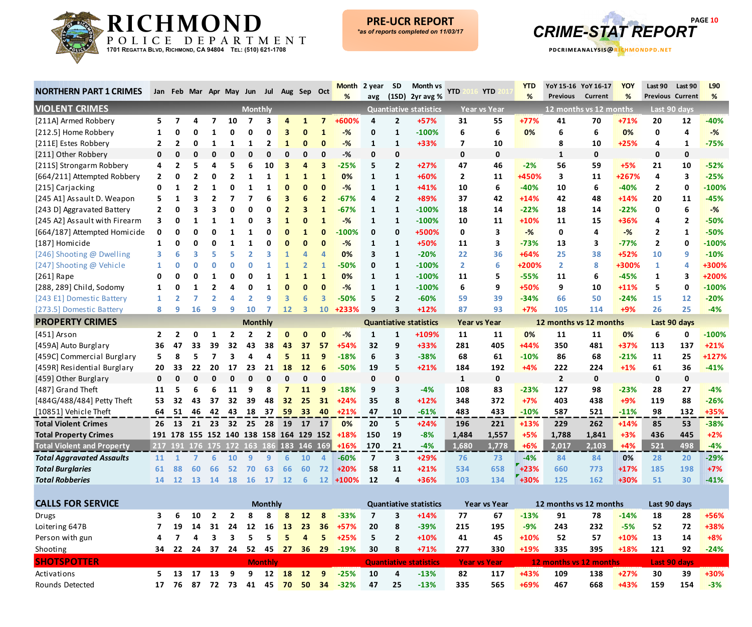



| <b>NORTHERN PART 1 CRIMES</b>     |                |                |                |                | Jan Feb Mar Apr May Jun Jul Aug Sep Oct |                |                |              |                 |              | <b>Month</b><br>%                            | 2 year                  | <b>SD</b>      | Month vs<br>avg (1SD) 2yr avg % | YTD            | <b>YTD</b>          | <b>YTD</b><br>% | YoY 15-16 YoY 16-17<br><b>Previous</b> | Current                | <b>YOY</b><br>% | Last 90        | Last 90<br><b>Previous Current</b> | L90<br>% |
|-----------------------------------|----------------|----------------|----------------|----------------|-----------------------------------------|----------------|----------------|--------------|-----------------|--------------|----------------------------------------------|-------------------------|----------------|---------------------------------|----------------|---------------------|-----------------|----------------------------------------|------------------------|-----------------|----------------|------------------------------------|----------|
| <b>VIOLENT CRIMES</b>             |                |                |                |                |                                         | <b>Monthly</b> |                |              |                 |              |                                              |                         |                | <b>Quantiative statistics</b>   |                | <b>Year vs Year</b> |                 |                                        | 12 months vs 12 months |                 |                | Last 90 days                       |          |
| [211A] Armed Robbery              | 5              | 7              | 4              | 7              | 10                                      |                |                |              | 1               | 7            | +600%                                        | 4                       | $\overline{2}$ | +57%                            | 31             | 55                  | $+77%$          | 41                                     | 70                     | $+71%$          | 20             | 12                                 | $-40%$   |
| [212.5] Home Robbery              | 1              | 0              | 0              |                | 0                                       |                |                |              | O               | $\mathbf{1}$ | $-%$                                         | 0                       | $\mathbf{1}$   | $-100%$                         | 6              | 6                   | 0%              | 6                                      | 6                      | 0%              | 0              | 4                                  | $-%$     |
| [211E] Estes Robbery              | $\overline{2}$ | $\overline{2}$ | 0              | 1              |                                         |                | 2              | 1            | n               | 0            | $-%$                                         | 1                       | $\mathbf{1}$   | +33%                            | $\overline{7}$ | 10                  |                 | 8                                      | 10                     | $+25%$          | 4              | 1                                  | $-75%$   |
| [211] Other Robbery               | 0              | 0              | 0              | ŋ              |                                         |                |                | ŋ            | ŋ               | $\Omega$     | -%                                           | 0                       | 0              |                                 | 0              | 0                   |                 | 1                                      | 0                      |                 | 0              | $\mathbf 0$                        |          |
| [211S] Strongarm Robbery          | 4              | 2              | 5              |                |                                         |                | 10             |              |                 | 3            | $-25%$                                       | 5                       | $\overline{2}$ | $+27%$                          | 47             | 46                  | $-2%$           | 56                                     | 59                     | $+5%$           | 21             | 10                                 | $-52%$   |
| [664/211] Attempted Robbery       |                | ი              | 2              |                |                                         |                |                |              |                 | 1            | 0%                                           | 1                       | $\mathbf{1}$   | +60%                            | $\overline{2}$ | 11                  | +450%           | 3                                      | 11                     | +267%           | 4              | 3                                  | $-25%$   |
| [215] Carjacking                  |                |                | $\overline{2}$ |                |                                         |                |                |              |                 | 0            | $-%$                                         |                         | $\mathbf{1}$   | +41%                            | 10             | 6                   | $-40%$          | 10                                     | 6                      | $-40%$          | 2              | 0                                  | $-100%$  |
| [245 A1] Assault D. Weapon        |                |                |                |                |                                         |                |                |              | 6               |              | $-67%$                                       | 4                       | $\overline{2}$ | +89%                            | 37             | 42                  | $+14%$          | 42                                     | 48                     | $+14%$          | 20             | 11                                 | $-45%$   |
| [243 D] Aggravated Battery        |                | 0              |                |                | Ω                                       |                |                |              | з               | -1           | $-67%$                                       | 1                       | $\mathbf{1}$   | $-100%$                         | 18             | 14                  | $-22%$          | 18                                     | 14                     | $-22%$          | 0              | 6                                  | $-%$     |
| [245 A2] Assault with Firearm     |                | 0              |                |                |                                         |                |                |              | n               |              | $-%$                                         | 1                       | $\mathbf{1}$   | $-100%$                         | 10             | 11                  | +10%            | 11                                     | 15                     | +36%            | 4              | $\overline{2}$                     | $-50%$   |
| [664/187] Attempted Homicide      |                | 0              | ŋ              |                |                                         |                |                |              | 1               | O            | -100%                                        | 0                       | 0              | +500%                           | 0              | 3                   | $-%$            | 0                                      | 4                      | $-%$            | $\mathbf{2}$   | 1                                  | $-50%$   |
| [187] Homicide                    |                | 0              | 0              | Ω              |                                         |                |                |              | ŋ               | $\Omega$     | $-%$                                         | 1                       | 1              | +50%                            | 11             | 3                   | -73%            | 13                                     | 3                      | $-77%$          | $\overline{2}$ | 0                                  | $-100%$  |
| [246] Shooting @ Dwelling         |                |                | 3              | 5              |                                         |                |                |              |                 | Δ            | 0%                                           | 3                       | 1              | $-20%$                          | 22             | 36                  | $+64%$          | 25                                     | 38                     | +52%            | 10             | 9                                  | $-10%$   |
| [247] Shooting @ Vehicle          |                |                | ი              |                |                                         |                |                |              |                 |              | -50%                                         | 0                       | $\mathbf{1}$   | $-100%$                         | $\overline{2}$ | 6                   | +200%           | $\mathbf{2}$                           | 8                      | +300%           | $\mathbf{1}$   | 4                                  | +300%    |
| $[261]$ Rape                      |                |                |                |                |                                         |                |                |              |                 | $\mathbf{1}$ | 0%                                           | 1                       | $\mathbf{1}$   | $-100%$                         | 11             | 5                   | $-55%$          | 11                                     | 6                      | $-45%$          | 1              | 3                                  | +200%    |
| [288, 289] Child, Sodomy          | 1              |                |                |                |                                         |                |                |              |                 | O            | $-%$                                         | 1                       | $\mathbf{1}$   | $-100%$                         | 6              | 9                   | +50%            | 9                                      | 10                     | $+11%$          | 5              | 0                                  | $-100%$  |
| [243 E1] Domestic Battery         | 1              |                |                |                |                                         |                |                |              | 6               | 3            | $-50%$                                       | 5                       | $\overline{2}$ | $-60%$                          | 59             | 39                  | $-34%$          | 66                                     | 50                     | $-24%$          | 15             | 12                                 | $-20%$   |
| [273.5] Domestic Battery          | 8              | q              | 16             | q              | q                                       | 10             |                | 12           | 3               | 10           | +233%                                        | 9                       | 3              | $+12%$                          | 87             | 93                  | $+7%$           | 105                                    | 114                    | $+9%$           | 26             | 25                                 | $-4%$    |
| <b>PROPERTY CRIMES</b>            |                |                |                |                |                                         | <b>Monthly</b> |                |              |                 |              |                                              |                         |                | <b>Quantiative statistics</b>   |                | Year vs Year        |                 | 12 months vs 12 months                 |                        |                 |                | Last 90 days                       |          |
| $[451]$ Arson                     | 2              | 2              | 0              |                |                                         |                |                | $\bf{0}$     | O               | $\mathbf 0$  | $-%$                                         | $\mathbf{1}$            | 1              | +109%                           | 11             | 11                  | 0%              | 11                                     | 11                     | 0%              | 6              | 0                                  | $-100%$  |
| [459A] Auto Burglary              | 36             | 47             | 33             | 39             | 32                                      | 43             | 38             | 43           | 37              | 57           | $+54%$                                       | 32                      | 9              | +33%                            | 281            | 405                 | $+44%$          | 350                                    | 481                    | +37%            | 113            | 137                                | $+21%$   |
| [459C] Commercial Burglary        | 5.             | 8              | 5              |                |                                         |                |                |              | 11              | 9            | $-18%$                                       | 6                       | 3              | $-38%$                          | 68             | 61                  | $-10%$          | 86                                     | 68                     | $-21%$          | 11             | 25                                 | +127%    |
| [459R] Residential Burglary       | 20             | 33             | 22             | 20             | 17                                      | 23             | 21             | 18           | 12              | 6            | $-50%$                                       | 19                      | 5              | $+21%$                          | 184            | 192                 | $+4%$           | 222                                    | 224                    | $+1%$           | 61             | 36                                 | $-41%$   |
| [459] Other Burglary              | 0              | $\mathbf{0}$   | O              | ŋ              | ი                                       |                |                | ŋ            | O               | $\Omega$     |                                              | 0                       | 0              |                                 | $\mathbf{1}$   | $\mathbf 0$         |                 | $\overline{2}$                         | 0                      |                 | $\mathbf{0}$   | $\mathbf 0$                        |          |
| [487] Grand Theft                 | 11             | 5              |                | 6              | 11                                      |                |                |              | 11              | 9            | $-18%$                                       | 9                       | 3              | $-4%$                           | 108            | 83                  | $-23%$          | 127                                    | 98                     | $-23%$          | 28             | 27                                 | $-4%$    |
| [484G/488/484] Petty Theft        | 53             | 32             | 43             | 37             | 32                                      | 39             | 48             | 32           | 25              | 31           | $+24%$                                       | 35                      | 8              | $+12%$                          | 348            | 372                 | $+7%$           | 403                                    | 438                    | $+9%$           | 119            | 88                                 | $-26%$   |
| [10851] Vehicle Theft             | 64             | 51             | 46             | 42             | 43                                      | 18             | 37             | 59           | 33 <sup>2</sup> | 40           | $+21%$                                       | 47                      | 10             | $-61%$                          | 483            | 433                 | $-10%$          | 587                                    | 521                    | $-11%$          | 98             | 132                                | +35%     |
| <b>Total Violent Crimes</b>       | 26             | 13             | 21             | 23             | 32                                      | 25             | 28             | 19           | 17              | -17          | 0%                                           | 20                      | 5              | $+24%$                          | 196            | 221                 | $+13%$          | 229                                    | 262                    | $+14%$          | 85             | 53                                 | $-38%$   |
| <b>Total Property Crimes</b>      |                |                |                |                | 191 178 155 152 140 138 158 164 129 152 |                |                |              |                 |              | $+18%$                                       | 150                     | 19             | $-8%$                           | 1,484          | 1,557               | $+5%$           | 1,788                                  | 1,841                  | $+3%$           | 436            | 445                                | $+2%$    |
| <b>Total Violent and Property</b> |                |                |                |                |                                         |                |                |              |                 |              | 217 191 176 175 172 163 186 183 146 169 +16% | 170                     | 21             | $-4%$                           | 1,680          | 1,778               | $+6%$           | 2,017                                  | 2,103                  | $+4%$           | 521            | 498                                | $-4%$    |
| <b>Total Aggravated Assaults</b>  | 11             |                |                | հ              | 10                                      |                |                |              | 10              | Δ            | $-60%$                                       | $\overline{\mathbf{z}}$ | 3              | +29%                            | 76             | 73                  | -4%             | 84                                     | 84                     | 0%              | 28             | 20                                 | $-29%$   |
| <b>Total Burglaries</b>           | 61             | 88             | 60             | 66             | 52                                      | 70             | 63             | 66           | 60              | 72           | $+20%$                                       | 58                      | 11             | $+21%$                          | 534            | 658                 | $+23%$          | 660                                    | 773                    | $+17%$          | 185            | 198                                | $+7%$    |
| <b>Total Robberies</b>            |                |                |                |                | 14 12 13 14 18 16 17 12                 |                |                |              | - 6             |              | 12 +100%                                     | 12                      | 4              | +36%                            | 103            | 134                 | $+30%$          | 125                                    | 162                    | +30%            | 51             | 30                                 | $-41%$   |
|                                   |                |                |                |                |                                         |                |                |              |                 |              |                                              |                         |                |                                 |                |                     |                 |                                        |                        |                 |                |                                    |          |
| <b>CALLS FOR SERVICE</b>          |                |                |                |                |                                         |                | <b>Monthly</b> |              |                 |              |                                              |                         |                | <b>Quantiative statistics</b>   |                | Year vs Year        |                 | 12 months vs 12 months                 |                        |                 | Last 90 days   |                                    |          |
| Drugs                             | 3              | 6              | 10             | $\overline{2}$ | $\overline{2}$                          | 8              | 8              | 8            | 12              | 8            | $-33%$                                       | 7                       | 3              | $+14%$                          | 77             | 67                  | $-13%$          | 91                                     | 78                     | $-14%$          | 18             | 28                                 | +56%     |
| Loitering 647B                    | 7              | 19             | 14             | 31             | 24                                      | 12             | 16             | <b>13</b>    | 23              | 36           | $+57%$                                       | 20                      | 8              | $-39%$                          | 215            | 195                 | $-9%$           | 243                                    | 232                    | $-5%$           | 52             | 72                                 | +38%     |
| Person with gun                   | 4              |                | 4              | 3              | 3                                       | 5              | 5              | 5            | 4               | 5            | $+25%$                                       | 5                       | $\overline{2}$ | +10%                            | 41             | 45                  | $+10%$          | 52                                     | 57                     | $+10%$          | 13             | 14                                 | $+8%$    |
| Shooting                          | 34             |                |                |                | 22 24 37 24                             |                |                |              |                 |              | 52 45 27 36 29 -19%                          | 30                      | 8              | $+71%$                          | 277            | 330                 | +19%            | 335                                    | 395                    | $+18%$          | 121            | 92                                 | $-24%$   |
| <b>SHOTSPOTTER</b>                |                |                |                |                |                                         |                | <b>Monthly</b> |              |                 |              |                                              |                         |                | <b>Quantiative statistics</b>   |                | <b>Year vs Year</b> |                 | 12 months vs 12 months                 |                        |                 |                | Last 90 days                       |          |
| Activations                       | 5.             |                | 13 17 13 9     |                |                                         |                |                | 9 12 18 12 9 |                 |              | $-25%$                                       | 10                      | 4              | $-13%$                          | 82             | 117                 | +43%            | 109                                    | 138                    | $+27%$          | 30             | 39                                 | +30%     |
| Rounds Detected                   |                |                |                |                |                                         |                |                |              |                 |              | 17 76 87 72 73 41 45 70 50 34 -32%           | 47                      | 25             | $-13%$                          | 335            | 565                 | +69%            | 467                                    | 668                    | +43%            | 159            | 154                                | $-3%$    |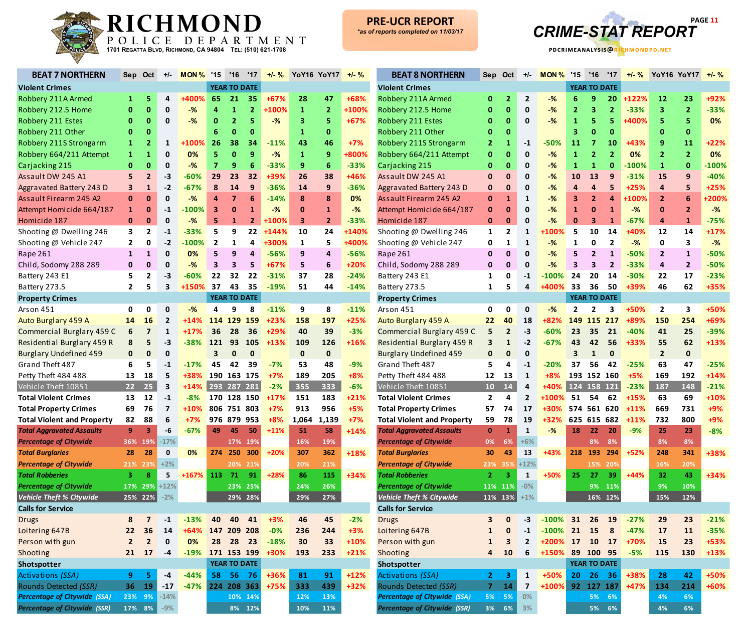



| <b>BEAT 7 NORTHERN</b>                           | Sep            | Oct             | +/-         | MON%             | $^{\prime}15$           | '16                 | '17            | $+/-$ %<br>YoY16 YoY17<br>$+/-$ % |              | <b>BEAT 8 NORTHERN</b> | <b>Sep</b><br>Oct |                                                  | $+/-$          | MON%                 |                | $^{\prime}15$<br>'16<br>'17 |                                 | $+/-$ %<br>YoY16 YoY17 |                | $+/-$ % |                         |                |         |
|--------------------------------------------------|----------------|-----------------|-------------|------------------|-------------------------|---------------------|----------------|-----------------------------------|--------------|------------------------|-------------------|--------------------------------------------------|----------------|----------------------|----------------|-----------------------------|---------------------------------|------------------------|----------------|---------|-------------------------|----------------|---------|
| <b>Violent Crimes</b>                            |                |                 |             |                  |                         | <b>YEAR TO DATE</b> |                |                                   |              | <b>Violent Crimes</b>  |                   |                                                  |                | <b>YEAR TO DATE</b>  |                |                             |                                 |                        |                |         |                         |                |         |
| Robbery 211A Armed                               | 1              | 5               | 4           | +400%            | 65                      | 21                  | 35             | $+67%$                            | 28           | 47                     | +68%              | Robbery 211A Armed                               |                | -2                   | $\overline{2}$ | -%                          |                                 | 9                      | 20             | $+122%$ | <b>12</b>               | 23             | +92%    |
| Robbery 212.5 Home                               | 0              | $\bf{0}$        | 0           | $-%$             | 4                       | 1                   | $\overline{2}$ | +100%                             | $\mathbf{1}$ | $\overline{2}$         | +100%             | Robbery 212.5 Home                               |                | 0                    | $\mathbf 0$    | -%                          | 2                               | 3                      | $\overline{2}$ | $-33%$  | 3                       | $\overline{2}$ | $-33%$  |
| Robbery 211 Estes                                | 0              | 0               | 0           | -%               | 0                       | $\overline{2}$      |                | -%                                | 3            | 5                      | $+67%$            | Robbery 211 Estes                                |                | 0                    | 0              | -%                          | 1                               | 5                      | 5              | +400%   | 5                       | 5              | 0%      |
| Robbery 211 Other                                | $\bf{0}$       | 0               |             |                  | 6                       | 0                   | $\bf{0}$       |                                   | 1            | 0                      |                   | Robbery 211 Other                                |                | 0                    |                |                             | 3                               | $\bf{0}$               | 0              |         |                         | $\mathbf 0$    |         |
| Robbery 211S Strongarm                           | 1              | 2               | 1           | +100%            | 26                      | 38                  | 34             | $-11%$                            | 43           | 46                     | $+7%$             | Robbery 211S Strongarm                           |                | 1                    | $-1$           | $-50%$                      | 11                              | 7                      | $\bf{10}$      | $+43%$  |                         | 11             | $+22%$  |
| Robbery 664/211 Attempt                          | 1.             | 1               | 0           | 0%               | 5.                      | $\mathbf{0}$        | 9              | $-%$                              | $\mathbf{1}$ | 9                      | +800%             | Robbery 664/211 Attempt                          |                | 0                    | 0              | -%                          | 1                               | $\mathbf{2}$           | $\overline{2}$ | 0%      | $\overline{2}$          | $\overline{2}$ | 0%      |
| Carjacking 215                                   | $\mathbf{0}$   | $\mathbf 0$     | 0           | -%               | $\overline{7}$          | 9                   |                | $-33%$                            | 9            | 6                      | $-33%$            | Carjacking 215                                   | 0              | 0                    | 0              | -%                          | 1                               | 1                      | $\bf{0}$       | $-100%$ | $\mathbf{1}$            | $\mathbf{0}$   | $-100%$ |
| Assault DW 245 A1                                | 5              | $\overline{2}$  | -3          | $-60%$           | 29                      | 23                  | 32             | +39%                              | 26           | 38                     | +46%              | Assault DW 245 A1                                |                | $\mathbf{0}$         | 0              | -%                          | <b>10</b>                       | 13                     | 9              | $-31%$  | 15                      | 9              | $-40%$  |
| Aggravated Battery 243 D                         | з              | 1               | -2          | $-67%$           | 8                       | 14                  | 9              | $-36%$                            | 14           | 9                      | $-36%$            | Aggravated Battery 243 D                         | O              | 0                    | n              | -%                          |                                 | 4                      | 5              | +25%    | $\overline{\mathbf{r}}$ | 5              | $+25%$  |
| Assault Firearm 245 A2                           |                | $\bf{0}$        | 0           | -%               | 4                       | $\overline{7}$      |                | $-14%$                            | 8            | 8                      | 0%                | Assault Firearm 245 A2                           | 0              | $\mathbf{1}$         | 1              | -%                          | 3                               | $\mathbf{2}$           | 4              | +100%   | $\overline{2}$          | 6              | +200%   |
| Attempt Homicide 664/187                         | $\mathbf{1}$   | 0               | $-1$        | $-100\%$         | 3                       | 0                   |                | -%                                | $\mathbf 0$  | 1                      | $-\frac{9}{6}$    | Attempt Homicide 664/187                         | 0              | $\mathbf 0$          | 0              | -%                          | 1                               | $\mathbf{0}$           |                | $-$ %   | 0                       | $\overline{2}$ | $-%$    |
| Homicide 187                                     | $\mathbf{0}$   | 0               | 0           | -%               | 5                       | $\mathbf{1}$        | $\mathbf{2}$   | +100%                             | 3            | $\overline{2}$         | $-33%$            | Homicide 187                                     | $\bf{0}$       | $\bf{0}$             | 0              | -%                          | $\mathbf 0$                     | 3                      | 1              | $-67%$  | 4                       | $\mathbf{1}$   | $-75%$  |
| Shooting @ Dwelling 246                          | 3              | $\mathbf{2}$    | -1          | -33%             | 5                       | 9                   | 22             | $+144%$                           | 10           | 24                     | +140%             | Shooting @ Dwelling 246                          | 1              | $\overline{2}$       | 1              | 100%                        | 5                               | 10                     | 14             | -40%    | 12                      | 14             | $+17%$  |
| Shooting @ Vehicle 247                           | $\mathbf{2}$   | 0               | $-2$        | $-100\%$         | $\overline{2}$          | 1                   | 4              | +300%                             | 1            | 5                      | +400%             | Shooting @ Vehicle 247                           | 0              | 1                    | 1              | $-%$                        | 1                               | 0                      | $\overline{2}$ | $-%$    | 0                       | 3              | $-$ %   |
| Rape 261                                         | 1              | $\mathbf{1}$    | 0           | 0%               | 5                       | 9                   | 4              | $-56%$                            | 9            | 4                      | $-56%$            | Rape 261                                         | 0              | $\Omega$             | O              | -%                          |                                 | $\overline{2}$         | 1              | $-50%$  | $\overline{2}$          | $\mathbf{1}$   | $-50%$  |
| Child, Sodomy 288 289                            | 0              | $\mathbf 0$     | 0           | -%               | 3                       | 3                   | 5              | $+67%$                            | 5            | 6                      | +20%              | Child, Sodomy 288 289                            | 0              | 0                    | 0              | -%                          | 3                               | 3                      | $\overline{2}$ | $-33%$  | 4                       | $\overline{2}$ | $-50%$  |
| Battery 243 E1                                   |                | $\mathbf{2}$    | -3          | $-60%$           | 22                      | 32                  | 22             | $-31%$                            | 37           | 28                     | $-24%$            | Battery 243 E1                                   |                | 0                    | -1             | $-100%$                     | 24                              | 20                     | 14             | $-30%$  | 22                      | 17             | $-23%$  |
| Battery 273.5                                    | $\mathbf{2}$   | 5               | 3           | +150%            | 37                      | 43                  | 35             | $-19%$                            | 51           | 44                     | $-14%$            | Battery 273.5                                    | 1              | 5                    | 4              | 400%                        |                                 |                        | 50             | +39%    | 46                      | 62             | +35%    |
|                                                  |                |                 |             |                  |                         | <b>YEAR TO DATE</b> |                |                                   |              |                        |                   | <b>Property Crimes</b>                           |                |                      |                |                             | 33<br>36<br><b>YEAR TO DATE</b> |                        |                |         |                         |                |         |
| <b>Property Crimes</b>                           |                |                 |             | -%               |                         | 9                   | 8              | $-11%$                            |              |                        | $-11%$            | Arson 451                                        | 0              | 0                    | $\mathbf 0$    | $-%$                        | 2                               | 2                      | 3              | +50%    | $\overline{2}$          | 3              | +50%    |
| Arson 451                                        | 0<br>14        | 0<br><b>16</b>  | 0<br>2      |                  | 4                       | <b>129</b>          | 159            |                                   | 9<br>158     | 8<br>197               | $+25%$            |                                                  | 22             |                      |                | +82%                        |                                 | 149 115 217            |                | +89%    | 150                     | 254            | +69%    |
| Auto Burglary 459 A<br>Commercial Burglary 459 C | 6              | 7               | 1           | +14%<br>+17%     | 114<br>36               | 28                  | 36             | $+23%$<br>$+29%$                  | 40           | 39                     | $-3%$             | Auto Burglary 459 A<br>Commercial Burglary 459 C | 5              | 40<br>$\overline{2}$ | 18<br>-3       | $-60%$                      | 23                              | 35                     | 21             | $-40%$  | 41                      | 25             | $-39%$  |
| Residential Burglary 459 R                       | 8              | 5               | -3          | -38%             | 121                     | 93                  | 105            | $+13%$                            | 109          | 126                    | $+16%$            | Residential Burglary 459 R                       | 3              | $\mathbf{1}$         | $-2$           | -67%                        |                                 | 42                     | 56             | $+33%$  | 55                      | 62             | $+13%$  |
| <b>Burglary Undefined 459</b>                    | 0              | $\mathbf{0}$    | 0           |                  | $\overline{\mathbf{3}}$ | 0                   | $\mathbf 0$    |                                   | $\mathbf 0$  | $\mathbf 0$            |                   | <b>Burglary Undefined 459</b>                    | 0              | $\Omega$             | 0              |                             | 43<br>3                         | 1                      | $\mathbf{0}$   |         | $\overline{2}$          | $\mathbf 0$    |         |
| Grand Theft 487                                  | 6              | 5               | -1          | $-17%$           | 45                      | 42                  | 39             | $-7%$                             | 53           | 48                     | $-9%$             | Grand Theft 487                                  | 5              | 4                    | $-1$           | $-20%$                      | 37                              | 56                     | 42             | $-25%$  | 63                      | 47             | $-25%$  |
| Petty Theft 484 488                              | 13             | 18              | 5           |                  |                         | 190 163 175         |                | $+7%$                             | 189          | 205                    | $+8%$             | Petty Theft 484 488                              | 12             |                      |                | +8%                         |                                 | 193 152 160            |                | $+5%$   | 169                     | 192            | $+14%$  |
| Vehicle Theft 10851                              | 22             | 25              |             | $+38%$<br>$+14%$ |                         | 293 287 281         |                | $-2%$                             | 355          | 333                    | $-6%$             | Vehicle Theft 10851                              | 10             | 13<br>14             | 1<br>4         | +40%                        |                                 | 124 158 121            |                | $-23%$  | 187                     | 148            | $-21%$  |
|                                                  |                | 12              | 3           |                  |                         |                     |                |                                   |              |                        |                   | <b>Total Violent Crimes</b>                      |                | 4                    |                |                             |                                 |                        |                |         |                         |                | $+10%$  |
| <b>Total Violent Crimes</b>                      | 13             |                 | $-1$        | $-8%$            |                         | 170 128 150         |                | $+17%$                            | 151          | 183                    | $+21%$            |                                                  | $\overline{2}$ |                      | $\overline{2}$ | +100%                       | 51                              | 54                     | 62             | $+15%$  | 63                      | 69             |         |
| <b>Total Property Crimes</b>                     | 69             | 76              | 7           | $+10%$           |                         | 806 751 803         |                | $+7%$                             | 913          | 956                    | $+5%$             | <b>Total Property Crimes</b>                     | 57             | 74                   | 17             | +30%                        |                                 | 574 561 620            |                | $+11%$  | 669                     | 731            | +9%     |
| <b>Total Violent and Property</b>                | 82             | 88              | 6           | $+7%$            |                         | 976 879 953         |                | $+8%$                             | 1,064        | 1,139                  | $+7%$             | <b>Total Violent and Property</b>                | 59             | 78                   | 19             | $+32%$                      |                                 | 625 615 682            |                | $+11%$  | 732                     | 800            | +9%     |
| <b>Total Aggravated Assaults</b>                 | 9 <sup>°</sup> | 3               | -6          | $-67%$           | 49                      | 45                  | 50             | $+11%$                            | 51           | 58                     | $+14%$            | <b>Total Aggravated Assaults</b>                 | $\mathbf{0}$   | 1                    | 1              | $-%$                        | 18                              | 22                     | 20             | $-9%$   | 25                      | 23             | $-8%$   |
| <b>Percentage of Citywide</b>                    |                | 36% 19%         | $-17%$      |                  |                         |                     | 17% 19%        |                                   | 16%          | 19%                    |                   | <b>Percentage of Citywide</b>                    | 0%             | 6%                   | $+6%$          |                             |                                 |                        | 8% 8%          |         | 8%                      | 8%             |         |
| <b>Total Burglaries</b>                          | 28             | 28              | $\Omega$    | 0%               | 274                     | 250                 | 300            | $+20%$                            | 307          | 362                    | +18%              | <b>Total Burglaries</b>                          | 30             | 43                   | 13             | +43%                        | 218                             | 193                    | 294            | $+52%$  | 248                     | 341            | +38%    |
| <b>Percentage of Citywide</b>                    |                | 21% 23%         | $+2%$       |                  |                         |                     | 20% 21%        |                                   | 20%          | 21%                    |                   | <b>Percentage of Citywide</b>                    |                | 23% 35% +12%         |                |                             |                                 | 15% 20%                |                |         | 16%                     | 20%            |         |
| <b>Total Robberies</b>                           | $3 -$          | -8              | 5           | $+167%$          |                         | 113 71 91           |                | $+28%$                            | 86           | 115                    | $+34%$            | <b>Total Robberies</b>                           | 2 <sup>1</sup> | -3                   | 1              | +50%                        | 25                              | $-27$                  | $-39$          | $+44%$  | 32                      | 43             | $+34%$  |
| <b>Percentage of Citywide</b>                    |                | $17\%$ 29% +12% |             |                  |                         |                     | 23% 25%        |                                   | 24%          | 26%                    |                   | <b>Percentage of Citywide</b>                    |                | 11% 11%              | $-0%$          |                             |                                 |                        | 9% 11%         |         | 9%                      | 10%            |         |
| <b>Vehicle Theft % Citywide</b>                  |                | 25% 22%         | $-2%$       |                  |                         |                     | 29% 28%        |                                   | 29%          | 27%                    |                   | Vehicle Theft % Citywide                         |                | $11\%$ 13% $+1\%$    |                |                             |                                 |                        | 16% 12%        |         | 15%                     | 12%            |         |
| <b>Calls for Service</b>                         |                |                 |             |                  |                         |                     |                |                                   |              |                        |                   | <b>Calls for Service</b>                         |                |                      |                |                             |                                 |                        |                |         |                         |                |         |
| <b>Drugs</b>                                     | 8              | $\overline{ }$  | $-1$        | $-13%$           | 40                      | 40                  | 41             | $+3%$                             | 46           | 45                     | $-2%$             | <b>Drugs</b>                                     | 3              | $\bf{0}$             | -3             | $-100\%$ 31 26              |                                 |                        | 19             | $-27%$  | 29                      | 23             | $-21%$  |
| Loitering 647B                                   | 22             | 36              | 14          | +64% 147 209 208 |                         |                     |                | $-0%$                             | 236          | 244                    | $+3%$             | Loitering 647B                                   | $\mathbf{1}$   | $\bf{0}$             | $-1$           | $-100\%$ 21 15              |                                 |                        | 8              | $-47%$  | 17                      | 11             | $-35%$  |
| Person with gun                                  | $\overline{2}$ | $\overline{2}$  | $\mathbf 0$ | 0%               | 28                      | 28                  | 23             | $-18%$                            | 30           | 33                     | $+10%$            | Person with gun                                  |                | 3                    | $\overline{2}$ | +200% 17 10                 |                                 |                        | 17             | +70%    | 15                      | 23             | +53%    |
| Shooting                                         | 21             | 17              | $-4$        | -19% 171 153 199 |                         |                     |                | +30%                              | 193          | 233                    | $+21%$            | Shooting                                         | 4              | 10                   | 6              | +150%                       |                                 | 89 100 95              |                | $-5%$   | 115                     | 130            | $+13%$  |
| Shotspotter                                      |                |                 |             |                  |                         | YEAR TO DATE        |                |                                   |              |                        |                   | Shotspotter                                      |                |                      |                |                             |                                 | <b>YEAR TO DATE</b>    |                |         |                         |                |         |
| Activations (SSA)                                | $9^{\circ}$    | 5.              | $-4$        | $-44%$           |                         | 58 56 76            |                | $+36%$                            | 81           | 91                     | $+12%$            | <b>Activations (SSA)</b>                         | 2 <sup>1</sup> | 3                    | $\mathbf{1}$   | +50%                        |                                 | 20 26 36               |                | +38%    | 28                      | 42             | +50%    |
| Rounds Detected (SSR)                            |                | 36 19           | $-17$       | $-47%$           |                         | 224 208 363         |                | $+75%$                            | 333          | 439                    | $+32%$            | Rounds Detected (SSR)                            |                | 7 14                 | $\overline{7}$ | +100% 92 127 187            |                                 |                        |                | $+47%$  | 134                     | 214            | +60%    |
| <b>Percentage of Citywide (SSA)</b>              |                | 23% 9%          | $-14%$      |                  |                         |                     | 10% 14%        |                                   | 12%          | 13%                    |                   | <b>Percentage of Citywide (SSA)</b>              |                | 5% 5%                | 0%             |                             |                                 |                        | 5% 6%          |         | 4%                      | 6%             |         |
| <b>Percentage of Citywide (SSR)</b>              |                | 17% 8%          | $-9%$       |                  |                         |                     | 8% 12%         |                                   | 10%          | 11%                    |                   | <b>Percentage of Citywide (SSR)</b>              |                | $3\%$ 6%             | 3%             |                             |                                 |                        | 5% 6%          |         | 4%                      | 6%             |         |